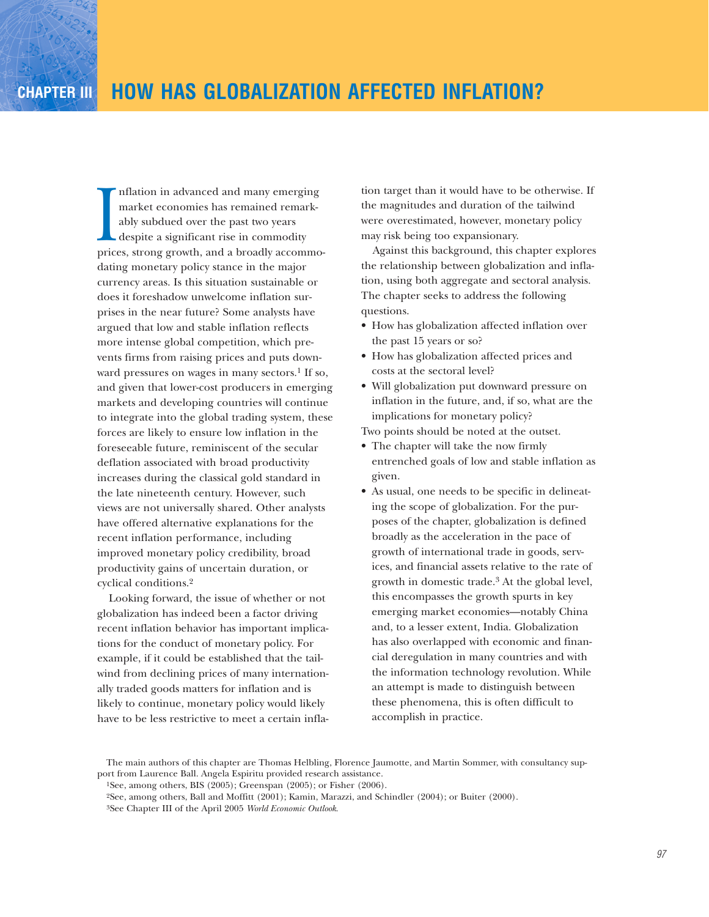market economies has remained remark-<br>ably subdued over the past two years<br>despite a significant rise in commodity<br>prices, strong growth, and a broadly accommonflation in advanced and many emerging market economies has remained remarkably subdued over the past two years despite a significant rise in commodity dating monetary policy stance in the major currency areas. Is this situation sustainable or does it foreshadow unwelcome inflation surprises in the near future? Some analysts have argued that low and stable inflation reflects more intense global competition, which prevents firms from raising prices and puts downward pressures on wages in many sectors.<sup>1</sup> If so, and given that lower-cost producers in emerging markets and developing countries will continue to integrate into the global trading system, these forces are likely to ensure low inflation in the foreseeable future, reminiscent of the secular deflation associated with broad productivity increases during the classical gold standard in the late nineteenth century. However, such views are not universally shared. Other analysts have offered alternative explanations for the recent inflation performance, including improved monetary policy credibility, broad productivity gains of uncertain duration, or cyclical conditions.2

Looking forward, the issue of whether or not globalization has indeed been a factor driving recent inflation behavior has important implications for the conduct of monetary policy. For example, if it could be established that the tailwind from declining prices of many internationally traded goods matters for inflation and is likely to continue, monetary policy would likely have to be less restrictive to meet a certain inflation target than it would have to be otherwise. If the magnitudes and duration of the tailwind were overestimated, however, monetary policy may risk being too expansionary.

Against this background, this chapter explores the relationship between globalization and inflation, using both aggregate and sectoral analysis. The chapter seeks to address the following questions.

- How has globalization affected inflation over the past 15 years or so?
- How has globalization affected prices and costs at the sectoral level?
- Will globalization put downward pressure on inflation in the future, and, if so, what are the implications for monetary policy?

Two points should be noted at the outset.

- The chapter will take the now firmly entrenched goals of low and stable inflation as given.
- As usual, one needs to be specific in delineating the scope of globalization. For the purposes of the chapter, globalization is defined broadly as the acceleration in the pace of growth of international trade in goods, services, and financial assets relative to the rate of growth in domestic trade.3 At the global level, this encompasses the growth spurts in key emerging market economies—notably China and, to a lesser extent, India. Globalization has also overlapped with economic and financial deregulation in many countries and with the information technology revolution. While an attempt is made to distinguish between these phenomena, this is often difficult to accomplish in practice.

The main authors of this chapter are Thomas Helbling, Florence Jaumotte, and Martin Sommer, with consultancy support from Laurence Ball. Angela Espiritu provided research assistance.

<sup>1</sup>See, among others, BIS (2005); Greenspan (2005); or Fisher (2006).

<sup>2</sup>See, among others, Ball and Moffitt (2001); Kamin, Marazzi, and Schindler (2004); or Buiter (2000).

<sup>3</sup>See Chapter III of the April 2005 *World Economic Outlook*.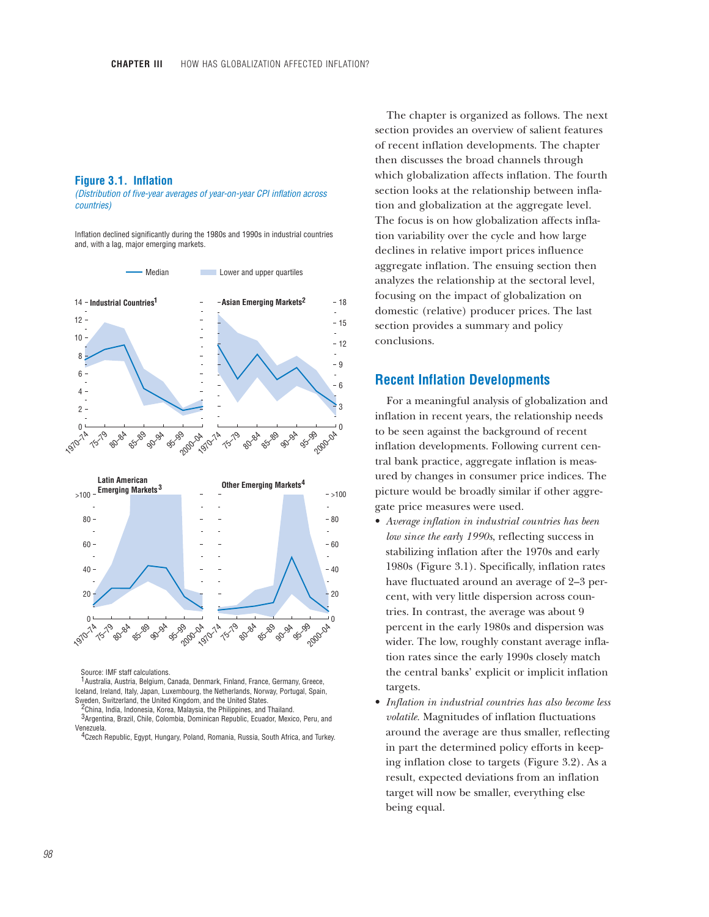## **Figure 3.1. Inflation**

*(Distribution of five-year averages of year-on-year CPI inflation across countries)*

Inflation declined significantly during the 1980s and 1990s in industrial countries and, with a lag, major emerging markets.



Source: IMF staff calculations.

<sup>1</sup> Australia, Austria, Belgium, Canada, Denmark, Finland, France, Germany, Greece, Iceland, Ireland, Italy, Japan, Luxembourg, the Netherlands, Norway, Portugal, Spain, Sweden, Switzerland, the United Kingdom, and the United States.

<sup>2</sup>China, India, Indonesia, Korea, Malaysia, the Philippines, and Thailand.

3 Argentina, Brazil, Chile, Colombia, Dominican Republic, Ecuador, Mexico, Peru, and Venezuela.

 $4$ Czech Republic, Egypt, Hungary, Poland, Romania, Russia, South Africa, and Turkey.

The chapter is organized as follows. The next section provides an overview of salient features of recent inflation developments. The chapter then discusses the broad channels through which globalization affects inflation. The fourth section looks at the relationship between inflation and globalization at the aggregate level. The focus is on how globalization affects inflation variability over the cycle and how large declines in relative import prices influence aggregate inflation. The ensuing section then analyzes the relationship at the sectoral level, focusing on the impact of globalization on domestic (relative) producer prices. The last section provides a summary and policy conclusions.

### **Recent Inflation Developments**

For a meaningful analysis of globalization and inflation in recent years, the relationship needs to be seen against the background of recent inflation developments. Following current central bank practice, aggregate inflation is measured by changes in consumer price indices. The picture would be broadly similar if other aggregate price measures were used.

- *Average inflation in industrial countries has been low since the early 1990s*, reflecting success in stabilizing inflation after the 1970s and early 1980s (Figure 3.1). Specifically, inflation rates have fluctuated around an average of 2–3 percent, with very little dispersion across countries. In contrast, the average was about 9 percent in the early 1980s and dispersion was wider. The low, roughly constant average inflation rates since the early 1990s closely match the central banks' explicit or implicit inflation targets.
- *Inflation in industrial countries has also become less volatile.* Magnitudes of inflation fluctuations around the average are thus smaller, reflecting in part the determined policy efforts in keeping inflation close to targets (Figure 3.2). As a result, expected deviations from an inflation target will now be smaller, everything else being equal.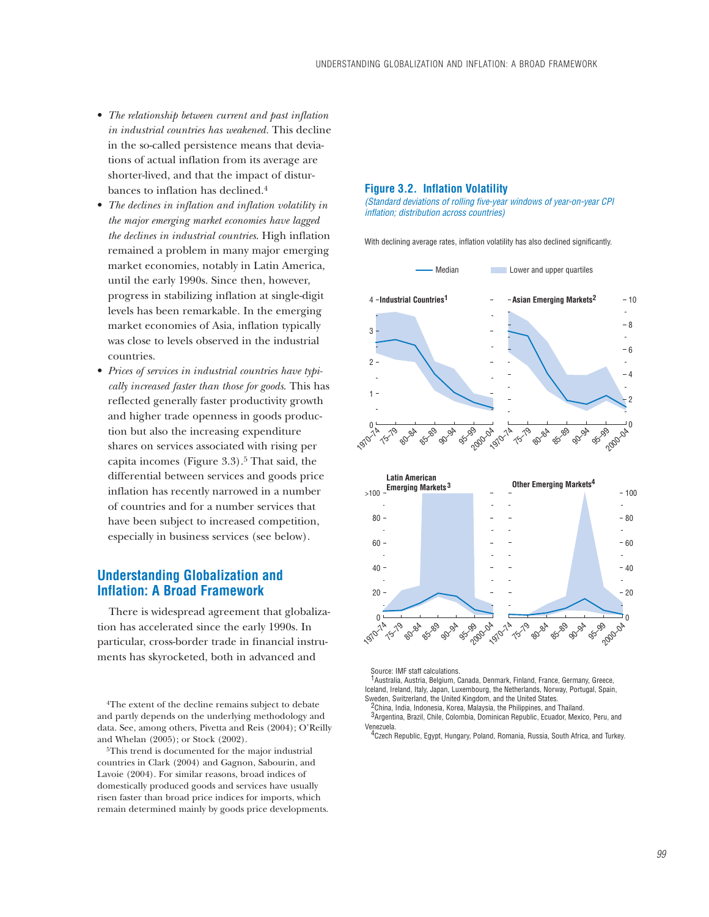- *The relationship between current and past inflation in industrial countries has weakened.* This decline in the so-called persistence means that deviations of actual inflation from its average are shorter-lived, and that the impact of disturbances to inflation has declined.4
- *The declines in inflation and inflation volatility in the major emerging market economies have lagged the declines in industrial countries*. High inflation remained a problem in many major emerging market economies, notably in Latin America, until the early 1990s. Since then, however, progress in stabilizing inflation at single-digit levels has been remarkable. In the emerging market economies of Asia, inflation typically was close to levels observed in the industrial countries.
- *Prices of services in industrial countries have typically increased faster than those for goods*. This has reflected generally faster productivity growth and higher trade openness in goods production but also the increasing expenditure shares on services associated with rising per capita incomes (Figure  $3.3$ ).<sup>5</sup> That said, the differential between services and goods price inflation has recently narrowed in a number of countries and for a number services that have been subject to increased competition, especially in business services (see below).

# **Understanding Globalization and Inflation: A Broad Framework**

There is widespread agreement that globalization has accelerated since the early 1990s. In particular, cross-border trade in financial instruments has skyrocketed, both in advanced and

4The extent of the decline remains subject to debate and partly depends on the underlying methodology and data. See, among others, Pivetta and Reis (2004); O'Reilly and Whelan (2005); or Stock (2002).

5This trend is documented for the major industrial countries in Clark (2004) and Gagnon, Sabourin, and Lavoie (2004). For similar reasons, broad indices of domestically produced goods and services have usually risen faster than broad price indices for imports, which remain determined mainly by goods price developments.

#### **Figure 3.2. Inflation Volatility**

*(Standard deviations of rolling five-year windows of year-on-year CPI inflation; distribution across countries)*

With declining average rates, inflation volatility has also declined significantly.



Source: IMF staff calculations.

<sup>1</sup> Australia, Austria, Belgium, Canada, Denmark, Finland, France, Germany, Greece, Iceland, Ireland, Italy, Japan, Luxembourg, the Netherlands, Norway, Portugal, Spain, Sweden, Switzerland, the United Kingdom, and the United States.

<sup>2</sup> China, India, Indonesia, Korea, Malaysia, the Philippines, and Thailand.

<sup>3</sup> Argentina, Brazil, Chile, Colombia, Dominican Republic, Ecuador, Mexico, Peru, and Venezuela.

<sup>4</sup> Czech Republic, Egypt, Hungary, Poland, Romania, Russia, South Africa, and Turkey.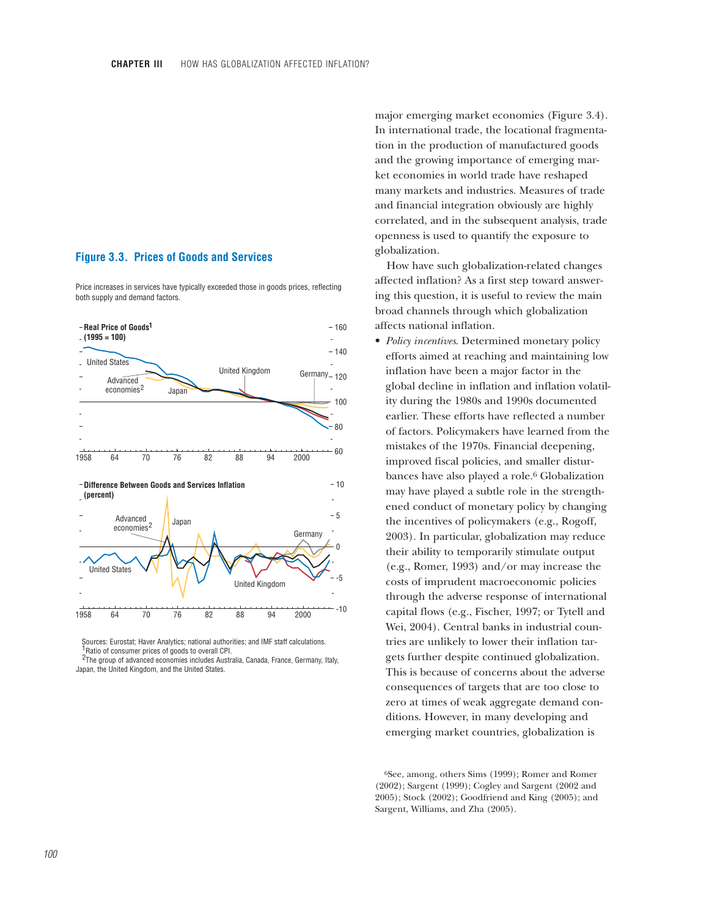# **Figure 3.3. Prices of Goods and Services**

Price increases in services have typically exceeded those in goods prices, reflecting both supply and demand factors.



Sources: Eurostat; Haver Analytics; national authorities; and IMF staff calculations. <sup>1</sup>Ratio of consumer prices of goods to overall CPI.

<sup>2</sup>The group of advanced economies includes Australia, Canada, France, Germany, Italy, Japan, the United Kingdom, and the United States.

major emerging market economies (Figure 3.4). In international trade, the locational fragmentation in the production of manufactured goods and the growing importance of emerging market economies in world trade have reshaped many markets and industries. Measures of trade and financial integration obviously are highly correlated, and in the subsequent analysis, trade openness is used to quantify the exposure to globalization.

How have such globalization-related changes affected inflation? As a first step toward answering this question, it is useful to review the main broad channels through which globalization affects national inflation.

• *Policy incentives*. Determined monetary policy efforts aimed at reaching and maintaining low inflation have been a major factor in the global decline in inflation and inflation volatility during the 1980s and 1990s documented earlier. These efforts have reflected a number of factors. Policymakers have learned from the mistakes of the 1970s. Financial deepening, improved fiscal policies, and smaller disturbances have also played a role.6 Globalization may have played a subtle role in the strengthened conduct of monetary policy by changing the incentives of policymakers (e.g., Rogoff, 2003). In particular, globalization may reduce their ability to temporarily stimulate output (e.g., Romer, 1993) and/or may increase the costs of imprudent macroeconomic policies through the adverse response of international capital flows (e.g., Fischer, 1997; or Tytell and Wei, 2004). Central banks in industrial countries are unlikely to lower their inflation targets further despite continued globalization. This is because of concerns about the adverse consequences of targets that are too close to zero at times of weak aggregate demand conditions. However, in many developing and emerging market countries, globalization is

6See, among, others Sims (1999); Romer and Romer (2002); Sargent (1999); Cogley and Sargent (2002 and 2005); Stock (2002); Goodfriend and King (2005); and Sargent, Williams, and Zha (2005).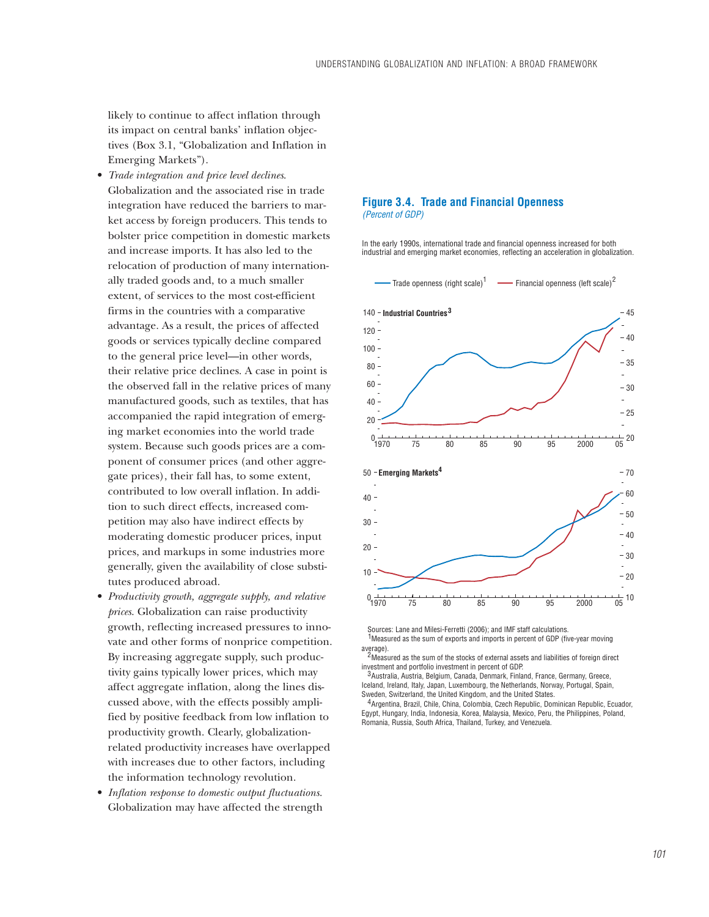likely to continue to affect inflation through its impact on central banks' inflation objectives (Box 3.1, "Globalization and Inflation in Emerging Markets").

- *Trade integration and price level declines*. Globalization and the associated rise in trade integration have reduced the barriers to market access by foreign producers. This tends to bolster price competition in domestic markets and increase imports. It has also led to the relocation of production of many internationally traded goods and, to a much smaller extent, of services to the most cost-efficient firms in the countries with a comparative advantage. As a result, the prices of affected goods or services typically decline compared to the general price level—in other words, their relative price declines. A case in point is the observed fall in the relative prices of many manufactured goods, such as textiles, that has accompanied the rapid integration of emerging market economies into the world trade system. Because such goods prices are a component of consumer prices (and other aggregate prices), their fall has, to some extent, contributed to low overall inflation. In addition to such direct effects, increased competition may also have indirect effects by moderating domestic producer prices, input prices, and markups in some industries more generally, given the availability of close substitutes produced abroad.
- *Productivity growth, aggregate supply, and relative prices*. Globalization can raise productivity growth, reflecting increased pressures to innovate and other forms of nonprice competition. By increasing aggregate supply, such productivity gains typically lower prices, which may affect aggregate inflation, along the lines discussed above, with the effects possibly amplified by positive feedback from low inflation to productivity growth. Clearly, globalizationrelated productivity increases have overlapped with increases due to other factors, including the information technology revolution.
- *Inflation response to domestic output fluctuations*. Globalization may have affected the strength

#### **Figure 3.4. Trade and Financial Openness** *(Percent of GDP)*

In the early 1990s, international trade and financial openness increased for both industrial and emerging market economies, reflecting an acceleration in globalization.



Sources: Lane and Milesi-Ferretti (2006); and IMF staff calculations. <sup>1</sup>Measured as the sum of exports and imports in percent of GDP (five-year moving average).

<sup>2</sup>Measured as the sum of the stocks of external assets and liabilities of foreign direct investment and portfolio investment in percent of GDP.

<sup>3</sup> Australia, Austria, Belgium, Canada, Denmark, Finland, France, Germany, Greece, Iceland, Ireland, Italy, Japan, Luxembourg, the Netherlands, Norway, Portugal, Spain, Sweden, Switzerland, the United Kingdom, and the United States.

<sup>4</sup> Argentina, Brazil, Chile, China, Colombia, Czech Republic, Dominican Republic, Ecuador, Egypt, Hungary, India, Indonesia, Korea, Malaysia, Mexico, Peru, the Philippines, Poland, Romania, Russia, South Africa, Thailand, Turkey, and Venezuela.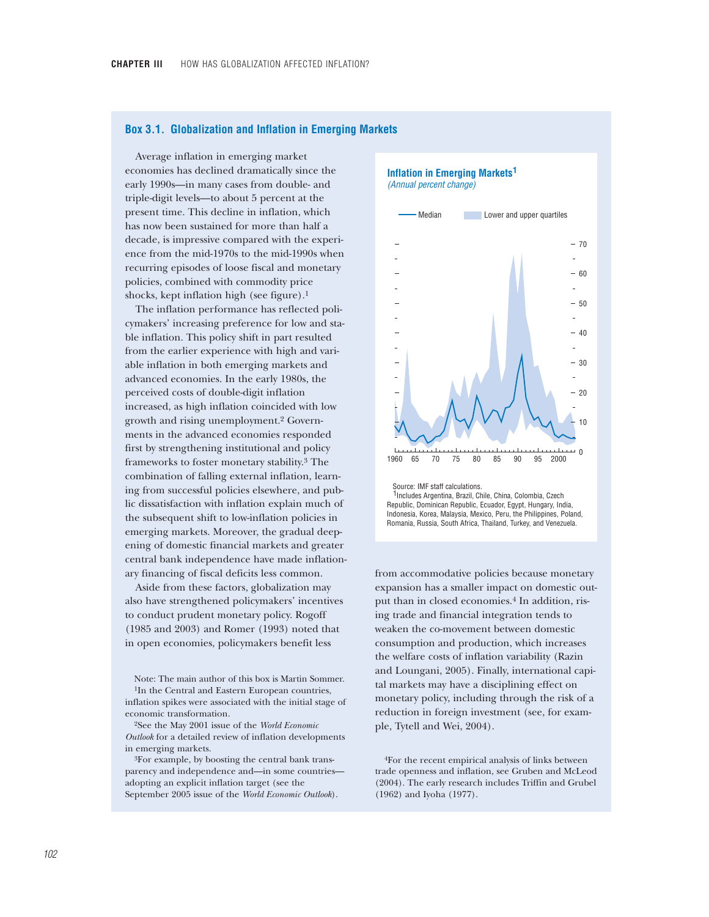### **Box 3.1. Globalization and Inflation in Emerging Markets**

Average inflation in emerging market economies has declined dramatically since the early 1990s—in many cases from double- and triple-digit levels—to about 5 percent at the present time. This decline in inflation, which has now been sustained for more than half a decade, is impressive compared with the experience from the mid-1970s to the mid-1990s when recurring episodes of loose fiscal and monetary policies, combined with commodity price shocks, kept inflation high (see figure).1

The inflation performance has reflected policymakers' increasing preference for low and stable inflation. This policy shift in part resulted from the earlier experience with high and variable inflation in both emerging markets and advanced economies. In the early 1980s, the perceived costs of double-digit inflation increased, as high inflation coincided with low growth and rising unemployment.2 Governments in the advanced economies responded first by strengthening institutional and policy frameworks to foster monetary stability.3 The combination of falling external inflation, learning from successful policies elsewhere, and public dissatisfaction with inflation explain much of the subsequent shift to low-inflation policies in emerging markets. Moreover, the gradual deepening of domestic financial markets and greater central bank independence have made inflationary financing of fiscal deficits less common.

Aside from these factors, globalization may also have strengthened policymakers' incentives to conduct prudent monetary policy. Rogoff (1985 and 2003) and Romer (1993) noted that in open economies, policymakers benefit less

Note: The main author of this box is Martin Sommer. 1In the Central and Eastern European countries, inflation spikes were associated with the initial stage of economic transformation.

2See the May 2001 issue of the *World Economic Outlook* for a detailed review of inflation developments in emerging markets.

3For example, by boosting the central bank transparency and independence and—in some countries adopting an explicit inflation target (see the September 2005 issue of the *World Economic Outlook*).

**Inflation in Emerging Markets 1** *(Annual percent change)*



<sup>1</sup>Includes Argentina, Brazil, Chile, China, Colombia, Czech Republic, Dominican Republic, Ecuador, Egypt, Hungary, India, Indonesia, Korea, Malaysia, Mexico, Peru, the Philippines, Poland, Romania, Russia, South Africa, Thailand, Turkey, and Venezuela.

from accommodative policies because monetary expansion has a smaller impact on domestic output than in closed economies.4 In addition, rising trade and financial integration tends to weaken the co-movement between domestic consumption and production, which increases the welfare costs of inflation variability (Razin and Loungani, 2005). Finally, international capital markets may have a disciplining effect on monetary policy, including through the risk of a reduction in foreign investment (see, for example, Tytell and Wei, 2004).

4For the recent empirical analysis of links between trade openness and inflation, see Gruben and McLeod (2004). The early research includes Triffin and Grubel (1962) and Iyoha (1977).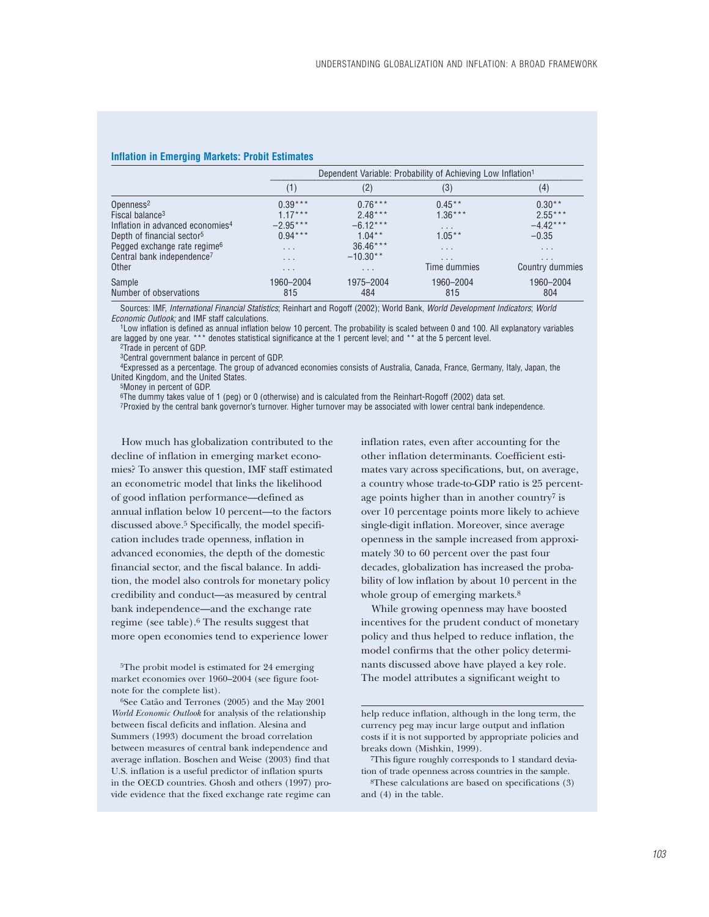|                                              |                         | Dependent Variable: Probability of Achieving Low Inflation <sup>1</sup> |                         |                         |  |  |  |
|----------------------------------------------|-------------------------|-------------------------------------------------------------------------|-------------------------|-------------------------|--|--|--|
|                                              | (1)                     | (2)                                                                     | (3)                     | (4)                     |  |  |  |
| Openness <sup>2</sup>                        | $0.39***$               | $0.76***$                                                               | $0.45***$               | $0.30**$                |  |  |  |
| Fiscal balance <sup>3</sup>                  | $1.17***$               | $2.48***$                                                               | $1.36***$               | $2.55***$               |  |  |  |
| Inflation in advanced economies <sup>4</sup> | $-2.95***$              | $-6.12***$                                                              | $\cdot$ $\cdot$ $\cdot$ | $-4.42***$              |  |  |  |
| Depth of financial sector <sup>5</sup>       | $0.94***$               | $1.04***$                                                               | $1.05***$               | $-0.35$                 |  |  |  |
| Pegged exchange rate regime <sup>6</sup>     | $\cdot$ $\cdot$ $\cdot$ | $36.46***$                                                              | $\cdot$ $\cdot$ $\cdot$ | $\cdot$ $\cdot$ $\cdot$ |  |  |  |
| Central bank independence <sup>7</sup>       | $\cdot$ $\cdot$ $\cdot$ | $-10.30**$                                                              | $\cdots$                | .                       |  |  |  |
| Other                                        | $\cdot$ $\cdot$ $\cdot$ | $\cdots$                                                                | Time dummies            | Country dummies         |  |  |  |
| Sample                                       | 1960-2004               | 1975-2004                                                               | 1960-2004               | 1960-2004               |  |  |  |
| Number of observations                       | 815                     | 484                                                                     | 815                     | 804                     |  |  |  |

#### **Inflation in Emerging Markets: Probit Estimates**

Sources: IMF, *International Financial Statistics*; Reinhart and Rogoff (2002); World Bank, *World Development Indicators*; *World*

*Economic Outlook;* and IMF staff calculations.<br><sup>1</sup>Low inflation is defined as annual inflation below 10 percent. The probability is scaled between 0 and 100. All explanatory variables are lagged by one year. \*\*\* denotes statistical significance at the 1 percent level; and \*\* at the 5 percent level.

2Trade in percent of GDP.

3Central government balance in percent of GDP.

4Expressed as a percentage. The group of advanced economies consists of Australia, Canada, France, Germany, Italy, Japan, the United Kingdom, and the United States.

5Money in percent of GDP.

6The dummy takes value of 1 (peg) or 0 (otherwise) and is calculated from the Reinhart-Rogoff (2002) data set. 7Proxied by the central bank governor's turnover. Higher turnover may be associated with lower central bank independence.

How much has globalization contributed to the decline of inflation in emerging market economies? To answer this question, IMF staff estimated an econometric model that links the likelihood of good inflation performance—defined as annual inflation below 10 percent—to the factors discussed above.5 Specifically, the model specification includes trade openness, inflation in advanced economies, the depth of the domestic financial sector, and the fiscal balance. In addition, the model also controls for monetary policy credibility and conduct—as measured by central bank independence––and the exchange rate regime (see table).6 The results suggest that more open economies tend to experience lower

5The probit model is estimated for 24 emerging market economies over 1960–2004 (see figure footnote for the complete list).

6See Catão and Terrones (2005) and the May 2001 *World Economic Outlook* for analysis of the relationship between fiscal deficits and inflation. Alesina and Summers (1993) document the broad correlation between measures of central bank independence and average inflation. Boschen and Weise (2003) find that U.S. inflation is a useful predictor of inflation spurts in the OECD countries. Ghosh and others (1997) provide evidence that the fixed exchange rate regime can

inflation rates, even after accounting for the other inflation determinants. Coefficient estimates vary across specifications, but, on average, a country whose trade-to-GDP ratio is 25 percentage points higher than in another country<sup>7</sup> is over 10 percentage points more likely to achieve single-digit inflation. Moreover, since average openness in the sample increased from approximately 30 to 60 percent over the past four decades, globalization has increased the probability of low inflation by about 10 percent in the whole group of emerging markets.<sup>8</sup>

While growing openness may have boosted incentives for the prudent conduct of monetary policy and thus helped to reduce inflation, the model confirms that the other policy determinants discussed above have played a key role. The model attributes a significant weight to

8These calculations are based on specifications (3) and (4) in the table.

help reduce inflation, although in the long term, the currency peg may incur large output and inflation costs if it is not supported by appropriate policies and breaks down (Mishkin, 1999).

<sup>7</sup>This figure roughly corresponds to 1 standard deviation of trade openness across countries in the sample.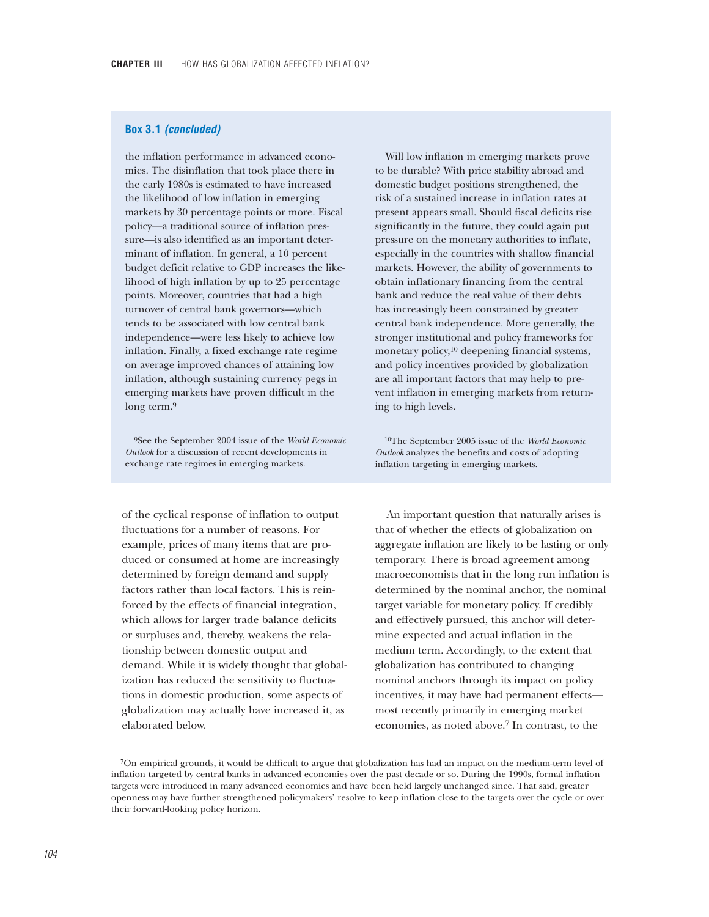# **Box 3.1** *(concluded)*

the inflation performance in advanced economies. The disinflation that took place there in the early 1980s is estimated to have increased the likelihood of low inflation in emerging markets by 30 percentage points or more. Fiscal policy—a traditional source of inflation pressure—is also identified as an important determinant of inflation. In general, a 10 percent budget deficit relative to GDP increases the likelihood of high inflation by up to 25 percentage points. Moreover, countries that had a high turnover of central bank governors—which tends to be associated with low central bank independence—were less likely to achieve low inflation. Finally, a fixed exchange rate regime on average improved chances of attaining low inflation, although sustaining currency pegs in emerging markets have proven difficult in the long term.<sup>9</sup>

9See the September 2004 issue of the *World Economic Outlook* for a discussion of recent developments in exchange rate regimes in emerging markets.

of the cyclical response of inflation to output fluctuations for a number of reasons. For example, prices of many items that are produced or consumed at home are increasingly determined by foreign demand and supply factors rather than local factors. This is reinforced by the effects of financial integration, which allows for larger trade balance deficits or surpluses and, thereby, weakens the relationship between domestic output and demand. While it is widely thought that globalization has reduced the sensitivity to fluctuations in domestic production, some aspects of globalization may actually have increased it, as elaborated below.

Will low inflation in emerging markets prove to be durable? With price stability abroad and domestic budget positions strengthened, the risk of a sustained increase in inflation rates at present appears small. Should fiscal deficits rise significantly in the future, they could again put pressure on the monetary authorities to inflate, especially in the countries with shallow financial markets. However, the ability of governments to obtain inflationary financing from the central bank and reduce the real value of their debts has increasingly been constrained by greater central bank independence. More generally, the stronger institutional and policy frameworks for monetary policy,10 deepening financial systems, and policy incentives provided by globalization are all important factors that may help to prevent inflation in emerging markets from returning to high levels.

10The September 2005 issue of the *World Economic Outlook* analyzes the benefits and costs of adopting inflation targeting in emerging markets.

An important question that naturally arises is that of whether the effects of globalization on aggregate inflation are likely to be lasting or only temporary. There is broad agreement among macroeconomists that in the long run inflation is determined by the nominal anchor, the nominal target variable for monetary policy. If credibly and effectively pursued, this anchor will determine expected and actual inflation in the medium term. Accordingly, to the extent that globalization has contributed to changing nominal anchors through its impact on policy incentives, it may have had permanent effects most recently primarily in emerging market economies, as noted above.7 In contrast, to the

<sup>7</sup>On empirical grounds, it would be difficult to argue that globalization has had an impact on the medium-term level of inflation targeted by central banks in advanced economies over the past decade or so. During the 1990s, formal inflation targets were introduced in many advanced economies and have been held largely unchanged since. That said, greater openness may have further strengthened policymakers' resolve to keep inflation close to the targets over the cycle or over their forward-looking policy horizon.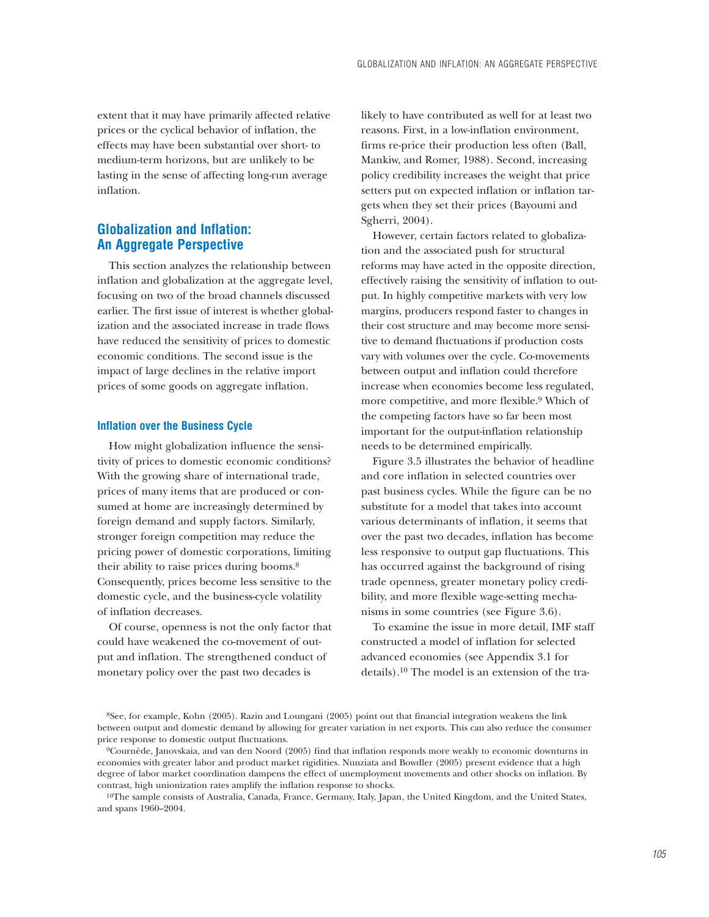extent that it may have primarily affected relative prices or the cyclical behavior of inflation, the effects may have been substantial over short- to medium-term horizons, but are unlikely to be lasting in the sense of affecting long-run average inflation.

# **Globalization and Inflation: An Aggregate Perspective**

This section analyzes the relationship between inflation and globalization at the aggregate level, focusing on two of the broad channels discussed earlier. The first issue of interest is whether globalization and the associated increase in trade flows have reduced the sensitivity of prices to domestic economic conditions. The second issue is the impact of large declines in the relative import prices of some goods on aggregate inflation.

### **Inflation over the Business Cycle**

How might globalization influence the sensitivity of prices to domestic economic conditions? With the growing share of international trade, prices of many items that are produced or consumed at home are increasingly determined by foreign demand and supply factors. Similarly, stronger foreign competition may reduce the pricing power of domestic corporations, limiting their ability to raise prices during booms.8 Consequently, prices become less sensitive to the domestic cycle, and the business-cycle volatility of inflation decreases.

Of course, openness is not the only factor that could have weakened the co-movement of output and inflation. The strengthened conduct of monetary policy over the past two decades is

likely to have contributed as well for at least two reasons. First, in a low-inflation environment, firms re-price their production less often (Ball, Mankiw, and Romer, 1988). Second, increasing policy credibility increases the weight that price setters put on expected inflation or inflation targets when they set their prices (Bayoumi and Sgherri, 2004).

However, certain factors related to globalization and the associated push for structural reforms may have acted in the opposite direction, effectively raising the sensitivity of inflation to output. In highly competitive markets with very low margins, producers respond faster to changes in their cost structure and may become more sensitive to demand fluctuations if production costs vary with volumes over the cycle. Co-movements between output and inflation could therefore increase when economies become less regulated, more competitive, and more flexible.9 Which of the competing factors have so far been most important for the output-inflation relationship needs to be determined empirically.

Figure 3.5 illustrates the behavior of headline and core inflation in selected countries over past business cycles. While the figure can be no substitute for a model that takes into account various determinants of inflation, it seems that over the past two decades, inflation has become less responsive to output gap fluctuations. This has occurred against the background of rising trade openness, greater monetary policy credibility, and more flexible wage-setting mechanisms in some countries (see Figure 3.6).

To examine the issue in more detail, IMF staff constructed a model of inflation for selected advanced economies (see Appendix 3.1 for details).10 The model is an extension of the tra-

8See, for example, Kohn (2005). Razin and Loungani (2005) point out that financial integration weakens the link between output and domestic demand by allowing for greater variation in net exports. This can also reduce the consumer price response to domestic output fluctuations.

9Cournède, Janovskaia, and van den Noord (2005) find that inflation responds more weakly to economic downturns in economies with greater labor and product market rigidities. Nunziata and Bowdler (2005) present evidence that a high degree of labor market coordination dampens the effect of unemployment movements and other shocks on inflation. By contrast, high unionization rates amplify the inflation response to shocks.

10The sample consists of Australia, Canada, France, Germany, Italy, Japan, the United Kingdom, and the United States, and spans 1960–2004.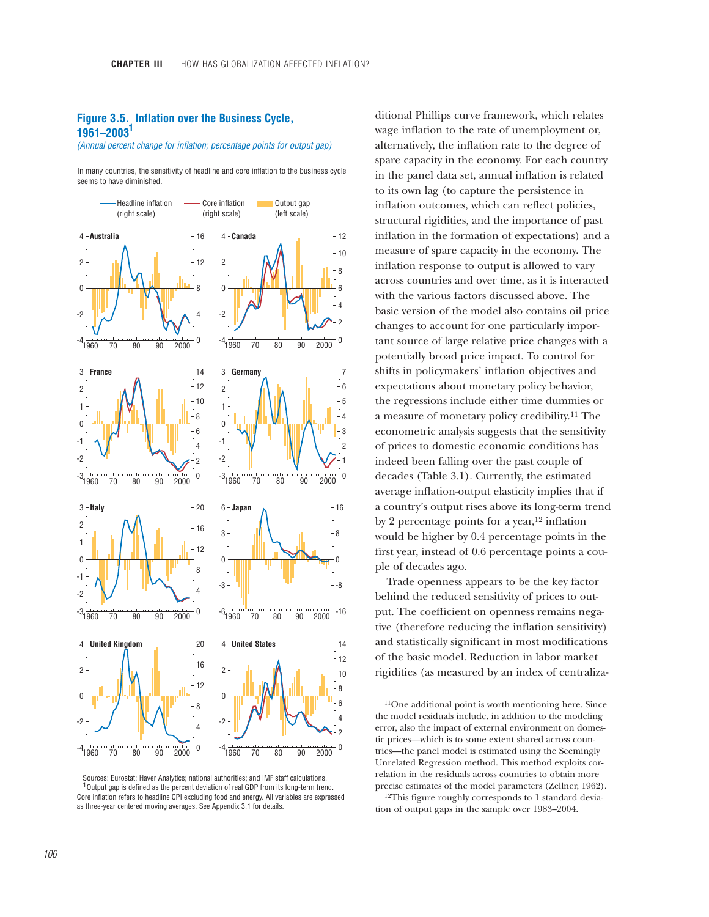# **Figure 3.5. Inflation over the Business Cycle, 1961–2003** **1**

*(Annual percent change for inflation; percentage points for output gap)*

In many countries, the sensitivity of headline and core inflation to the business cycle seems to have diminished.



Sources: Eurostat; Haver Analytics; national authorities; and IMF staff calculations. Output gap is defined as the percent deviation of real GDP from its long-term trend. 1 Core inflation refers to headline CPI excluding food and energy. All variables are expressed as three-year centered moving averages. See Appendix 3.1 for details.

ditional Phillips curve framework, which relates wage inflation to the rate of unemployment or, alternatively, the inflation rate to the degree of spare capacity in the economy. For each country in the panel data set, annual inflation is related to its own lag (to capture the persistence in inflation outcomes, which can reflect policies, structural rigidities, and the importance of past inflation in the formation of expectations) and a measure of spare capacity in the economy. The inflation response to output is allowed to vary across countries and over time, as it is interacted with the various factors discussed above. The basic version of the model also contains oil price changes to account for one particularly important source of large relative price changes with a potentially broad price impact. To control for shifts in policymakers' inflation objectives and expectations about monetary policy behavior, the regressions include either time dummies or a measure of monetary policy credibility.11 The econometric analysis suggests that the sensitivity of prices to domestic economic conditions has indeed been falling over the past couple of decades (Table 3.1). Currently, the estimated average inflation-output elasticity implies that if a country's output rises above its long-term trend by 2 percentage points for a year,<sup>12</sup> inflation would be higher by 0.4 percentage points in the first year, instead of 0.6 percentage points a couple of decades ago.

Trade openness appears to be the key factor behind the reduced sensitivity of prices to output. The coefficient on openness remains negative (therefore reducing the inflation sensitivity) and statistically significant in most modifications of the basic model. Reduction in labor market rigidities (as measured by an index of centraliza-

11One additional point is worth mentioning here. Since the model residuals include, in addition to the modeling error, also the impact of external environment on domestic prices—which is to some extent shared across countries—the panel model is estimated using the Seemingly Unrelated Regression method. This method exploits correlation in the residuals across countries to obtain more precise estimates of the model parameters (Zellner, 1962).

12This figure roughly corresponds to 1 standard deviation of output gaps in the sample over 1983–2004.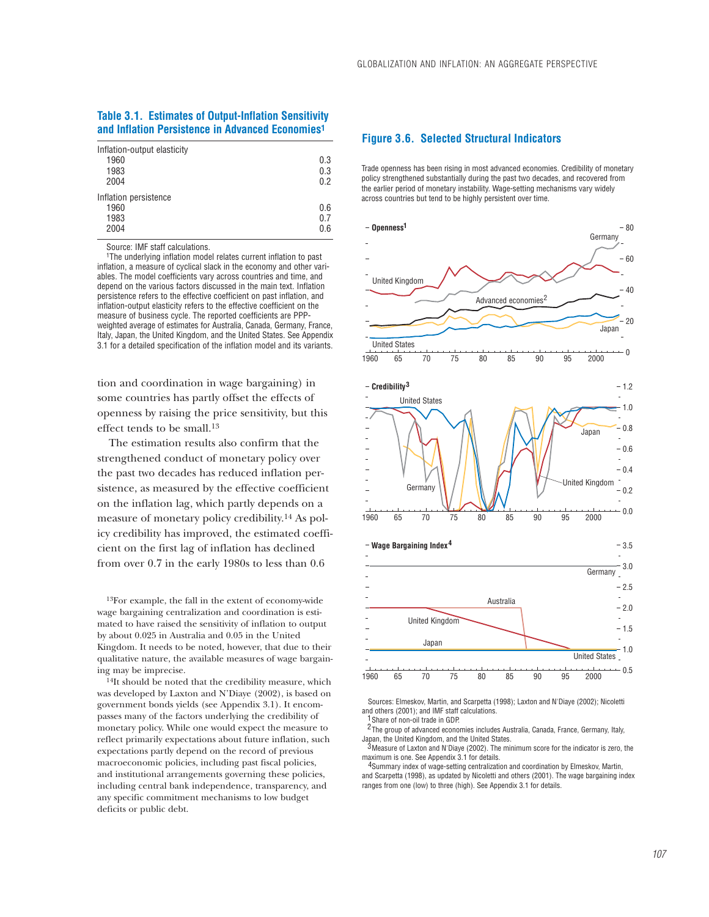## **Table 3.1. Estimates of Output-Inflation Sensitivity and Inflation Persistence in Advanced Economies1**

| Inflation-output elasticity<br>1960<br>1983<br>2004 | 0.3<br>0.3<br>0.2 |
|-----------------------------------------------------|-------------------|
| Inflation persistence<br>1960<br>1983<br>2004       | 0.6<br>0.7<br>0.6 |

Source: IMF staff calculations.

1The underlying inflation model relates current inflation to past inflation, a measure of cyclical slack in the economy and other variables. The model coefficients vary across countries and time, and depend on the various factors discussed in the main text. Inflation persistence refers to the effective coefficient on past inflation, and inflation-output elasticity refers to the effective coefficient on the measure of business cycle. The reported coefficients are PPPweighted average of estimates for Australia, Canada, Germany, France, Italy, Japan, the United Kingdom, and the United States. See Appendix 3.1 for a detailed specification of the inflation model and its variants.

tion and coordination in wage bargaining) in some countries has partly offset the effects of openness by raising the price sensitivity, but this effect tends to be small.13

The estimation results also confirm that the strengthened conduct of monetary policy over the past two decades has reduced inflation persistence, as measured by the effective coefficient on the inflation lag, which partly depends on a measure of monetary policy credibility.14 As policy credibility has improved, the estimated coefficient on the first lag of inflation has declined from over 0.7 in the early 1980s to less than 0.6

13For example, the fall in the extent of economy-wide wage bargaining centralization and coordination is estimated to have raised the sensitivity of inflation to output by about 0.025 in Australia and 0.05 in the United Kingdom. It needs to be noted, however, that due to their qualitative nature, the available measures of wage bargaining may be imprecise.

14It should be noted that the credibility measure, which was developed by Laxton and N'Diaye (2002), is based on government bonds yields (see Appendix 3.1). It encompasses many of the factors underlying the credibility of monetary policy. While one would expect the measure to reflect primarily expectations about future inflation, such expectations partly depend on the record of previous macroeconomic policies, including past fiscal policies, and institutional arrangements governing these policies, including central bank independence, transparency, and any specific commitment mechanisms to low budget deficits or public debt.

## **Figure 3.6. Selected Structural Indicators**

Trade openness has been rising in most advanced economies. Credibility of monetary policy strengthened substantially during the past two decades, and recovered from the earlier period of monetary instability. Wage-setting mechanisms vary widely across countries but tend to be highly persistent over time.







Sources: Elmeskov, Martin, and Scarpetta (1998); Laxton and N'Diaye (2002); Nicoletti and others (2001); and IMF staff calculations.

1 Share of non-oil trade in GDP.

<sup>2</sup> The group of advanced economies includes Australia, Canada, France, Germany, Italy, Japan, the United Kingdom, and the United States.

 $3$  Measure of Laxton and N'Diaye (2002). The minimum score for the indicator is zero, the maximum is one. See Appendix 3.1 for details.

4Summary index of wage-setting centralization and coordination by Elmeskov, Martin, and Scarpetta (1998), as updated by Nicoletti and others (2001). The wage bargaining index ranges from one (low) to three (high). See Appendix 3.1 for details.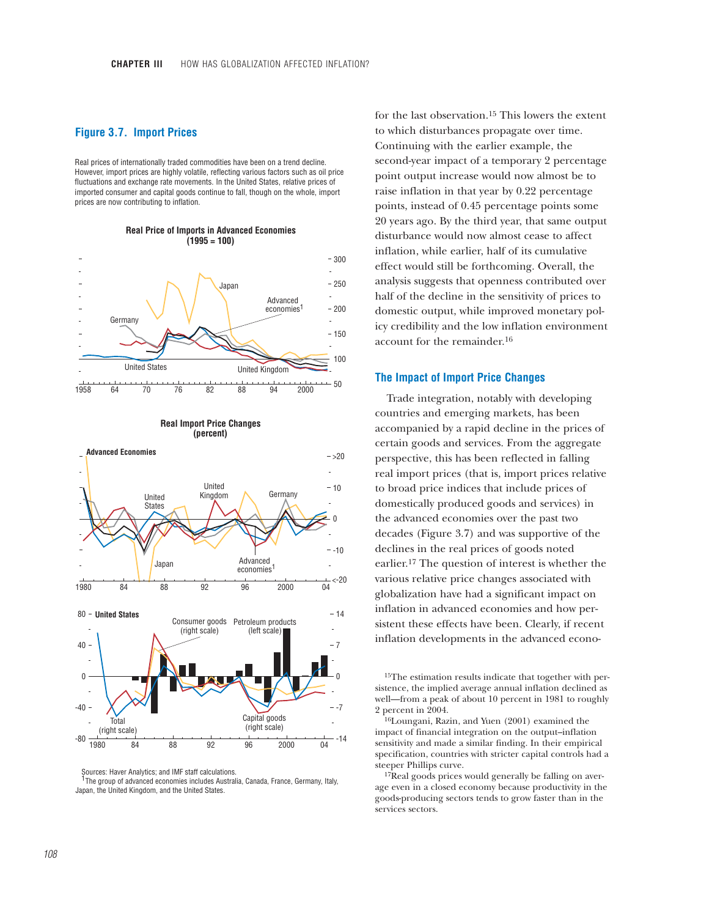## **Figure 3.7. Import Prices**

Real prices of internationally traded commodities have been on a trend decline. However, import prices are highly volatile, reflecting various factors such as oil price fluctuations and exchange rate movements. In the United States, relative prices of imported consumer and capital goods continue to fall, though on the whole, import prices are now contributing to inflation.



#### **Real Price of Imports in Advanced Economies (1995 = 100)**





Sources: Haver Analytics; and IMF staff calculations.

<sup>1</sup>The group of advanced economies includes Australia, Canada, France, Germany, Italy, Japan, the United Kingdom, and the United States.

for the last observation.15 This lowers the extent to which disturbances propagate over time. Continuing with the earlier example, the second-year impact of a temporary 2 percentage point output increase would now almost be to raise inflation in that year by 0.22 percentage points, instead of 0.45 percentage points some 20 years ago. By the third year, that same output disturbance would now almost cease to affect inflation, while earlier, half of its cumulative effect would still be forthcoming. Overall, the analysis suggests that openness contributed over half of the decline in the sensitivity of prices to domestic output, while improved monetary policy credibility and the low inflation environment account for the remainder.16

#### **The Impact of Import Price Changes**

Trade integration, notably with developing countries and emerging markets, has been accompanied by a rapid decline in the prices of certain goods and services. From the aggregate perspective, this has been reflected in falling real import prices (that is, import prices relative to broad price indices that include prices of domestically produced goods and services) in the advanced economies over the past two decades (Figure 3.7) and was supportive of the declines in the real prices of goods noted earlier.17 The question of interest is whether the various relative price changes associated with globalization have had a significant impact on inflation in advanced economies and how persistent these effects have been. Clearly, if recent inflation developments in the advanced econo-

15The estimation results indicate that together with persistence, the implied average annual inflation declined as well—from a peak of about 10 percent in 1981 to roughly 2 percent in  $2004$ .

16Loungani, Razin, and Yuen (2001) examined the impact of financial integration on the output–inflation sensitivity and made a similar finding. In their empirical specification, countries with stricter capital controls had a steeper Phillips curve.

<sup>17</sup>Real goods prices would generally be falling on average even in a closed economy because productivity in the goods-producing sectors tends to grow faster than in the services sectors.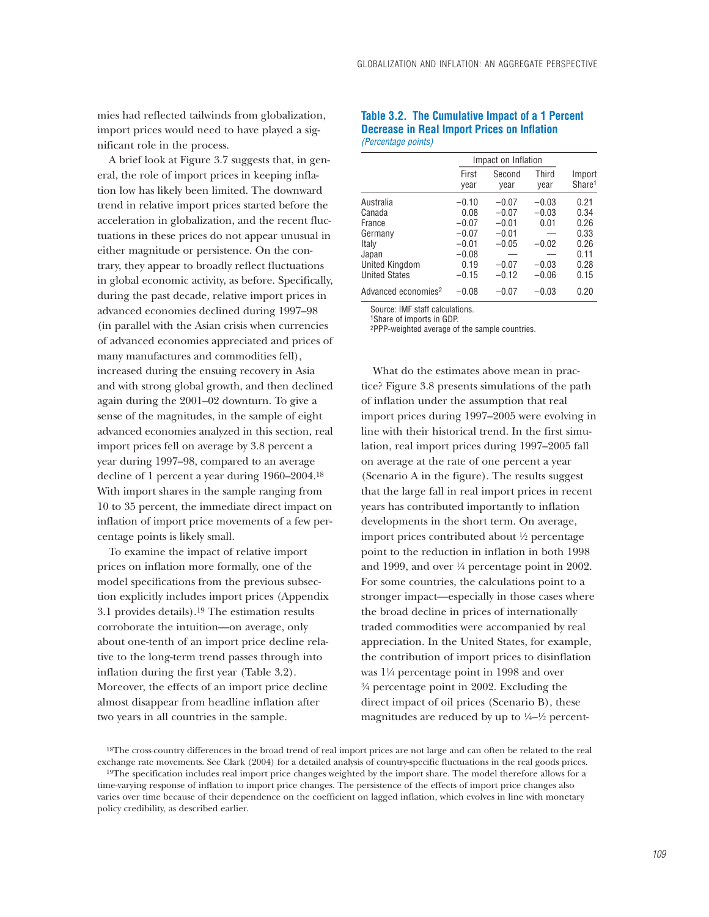mies had reflected tailwinds from globalization, import prices would need to have played a significant role in the process.

A brief look at Figure 3.7 suggests that, in general, the role of import prices in keeping inflation low has likely been limited. The downward trend in relative import prices started before the acceleration in globalization, and the recent fluctuations in these prices do not appear unusual in either magnitude or persistence. On the contrary, they appear to broadly reflect fluctuations in global economic activity, as before. Specifically, during the past decade, relative import prices in advanced economies declined during 1997–98 (in parallel with the Asian crisis when currencies of advanced economies appreciated and prices of many manufactures and commodities fell), increased during the ensuing recovery in Asia and with strong global growth, and then declined again during the 2001–02 downturn. To give a sense of the magnitudes, in the sample of eight advanced economies analyzed in this section, real import prices fell on average by 3.8 percent a year during 1997–98, compared to an average decline of 1 percent a year during 1960–2004.18 With import shares in the sample ranging from 10 to 35 percent, the immediate direct impact on inflation of import price movements of a few percentage points is likely small.

To examine the impact of relative import prices on inflation more formally, one of the model specifications from the previous subsection explicitly includes import prices (Appendix 3.1 provides details).19 The estimation results corroborate the intuition—on average, only about one-tenth of an import price decline relative to the long-term trend passes through into inflation during the first year (Table 3.2). Moreover, the effects of an import price decline almost disappear from headline inflation after two years in all countries in the sample.

### **Table 3.2. The Cumulative Impact of a 1 Percent Decrease in Real Import Prices on Inflation** *(Percentage points)*

|                                                                                                      | Impact on Inflation                                                            |                                                                           |                                                             |                                                              |
|------------------------------------------------------------------------------------------------------|--------------------------------------------------------------------------------|---------------------------------------------------------------------------|-------------------------------------------------------------|--------------------------------------------------------------|
|                                                                                                      | First<br>year                                                                  | Second<br>year                                                            | Third<br>vear                                               | Import<br>Share <sup>1</sup>                                 |
| Australia<br>Canada<br>France<br>Germany<br>Italy<br>Japan<br>United Kingdom<br><b>United States</b> | $-0.10$<br>0.08<br>$-0.07$<br>$-0.07$<br>$-0.01$<br>$-0.08$<br>0.19<br>$-0.15$ | $-0.07$<br>$-0.07$<br>$-0.01$<br>$-0.01$<br>$-0.05$<br>$-0.07$<br>$-0.12$ | $-0.03$<br>$-0.03$<br>0.01<br>$-0.02$<br>$-0.03$<br>$-0.06$ | 0.21<br>0.34<br>0.26<br>0.33<br>0.26<br>0.11<br>0.28<br>0.15 |
| Advanced economies <sup>2</sup>                                                                      | $-0.08$                                                                        | $-0.07$                                                                   | $-0.03$                                                     | 0.20                                                         |

Source: IMF staff calculations.

1Share of imports in GDP.

2PPP-weighted average of the sample countries.

What do the estimates above mean in practice? Figure 3.8 presents simulations of the path of inflation under the assumption that real import prices during 1997–2005 were evolving in line with their historical trend. In the first simulation, real import prices during 1997–2005 fall on average at the rate of one percent a year (Scenario A in the figure). The results suggest that the large fall in real import prices in recent years has contributed importantly to inflation developments in the short term. On average, import prices contributed about  $\frac{1}{2}$  percentage point to the reduction in inflation in both 1998 and 1999, and over 1/4 percentage point in 2002. For some countries, the calculations point to a stronger impact—especially in those cases where the broad decline in prices of internationally traded commodities were accompanied by real appreciation. In the United States, for example, the contribution of import prices to disinflation was 1!/4 percentage point in 1998 and over  $\frac{3}{4}$  percentage point in 2002. Excluding the direct impact of oil prices (Scenario B), these magnitudes are reduced by up to  $\frac{1}{4}$  percent-

<sup>18</sup>The cross-country differences in the broad trend of real import prices are not large and can often be related to the real exchange rate movements. See Clark (2004) for a detailed analysis of country-specific fluctuations in the real goods prices. <sup>19</sup>The specification includes real import price changes weighted by the import share. The model therefore allows for a

time-varying response of inflation to import price changes. The persistence of the effects of import price changes also varies over time because of their dependence on the coefficient on lagged inflation, which evolves in line with monetary policy credibility, as described earlier.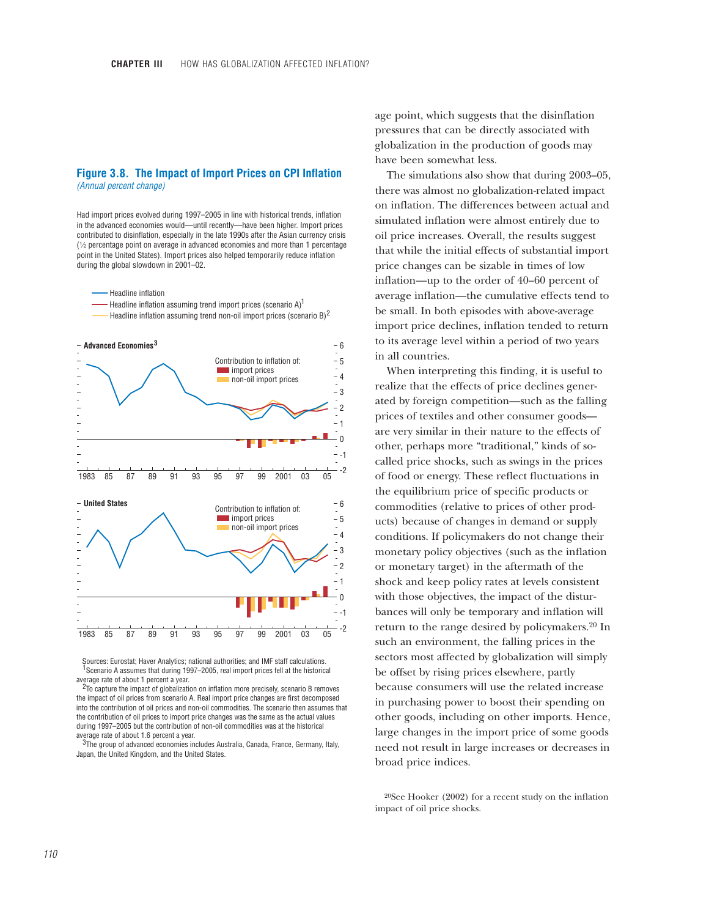### **Figure 3.8. The Impact of Import Prices on CPI Inflation** *(Annual percent change)*

Had import prices evolved during 1997–2005 in line with historical trends, inflation in the advanced economies would—until recently—have been higher. Import prices contributed to disinflation, especially in the late 1990s after the Asian currency crisis  $(1/2)$  percentage point on average in advanced economies and more than 1 percentage point in the United States). Import prices also helped temporarily reduce inflation during the global slowdown in 2001–02.

#### Headline inflation

- Headline inflation assuming trend import prices (scenario A) $^1$
- Headline inflation assuming trend non-oil import prices (scenario  $B)^2$



Sources: Eurostat; Haver Analytics; national authorities; and IMF staff calculations.  $1$ Scenario A assumes that during 1997–2005, real import prices fell at the historical average rate of about 1 percent a year.

<sup>2</sup>To capture the impact of globalization on inflation more precisely, scenario B removes the impact of oil prices from scenario A. Real import price changes are first decomposed into the contribution of oil prices and non-oil commodities. The scenario then assumes that the contribution of oil prices to import price changes was the same as the actual values during 1997–2005 but the contribution of non-oil commodities was at the historical average rate of about 1.6 percent a year.

 $3$ The group of advanced economies includes Australia, Canada, France, Germany, Italy, Japan, the United Kingdom, and the United States.

age point, which suggests that the disinflation pressures that can be directly associated with globalization in the production of goods may have been somewhat less.

The simulations also show that during 2003–05, there was almost no globalization-related impact on inflation. The differences between actual and simulated inflation were almost entirely due to oil price increases. Overall, the results suggest that while the initial effects of substantial import price changes can be sizable in times of low inflation—up to the order of 40–60 percent of average inflation—the cumulative effects tend to be small. In both episodes with above-average import price declines, inflation tended to return to its average level within a period of two years in all countries.

When interpreting this finding, it is useful to realize that the effects of price declines generated by foreign competition—such as the falling prices of textiles and other consumer goods are very similar in their nature to the effects of other, perhaps more "traditional," kinds of socalled price shocks, such as swings in the prices of food or energy. These reflect fluctuations in the equilibrium price of specific products or commodities (relative to prices of other products) because of changes in demand or supply conditions. If policymakers do not change their monetary policy objectives (such as the inflation or monetary target) in the aftermath of the shock and keep policy rates at levels consistent with those objectives, the impact of the disturbances will only be temporary and inflation will return to the range desired by policymakers.20 In such an environment, the falling prices in the sectors most affected by globalization will simply be offset by rising prices elsewhere, partly because consumers will use the related increase in purchasing power to boost their spending on other goods, including on other imports. Hence, large changes in the import price of some goods need not result in large increases or decreases in broad price indices.

20See Hooker (2002) for a recent study on the inflation impact of oil price shocks.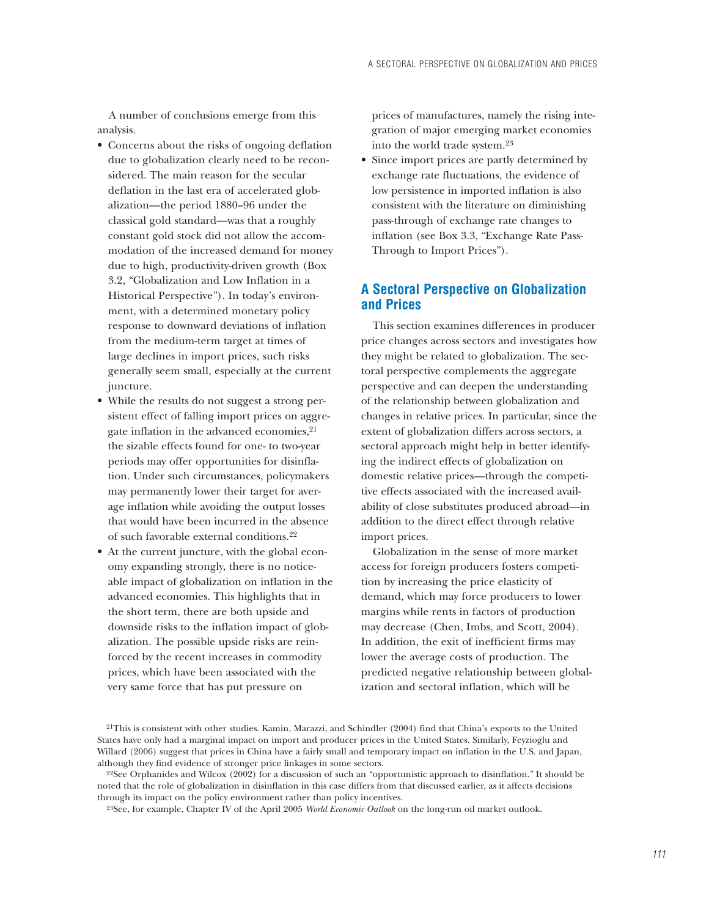A number of conclusions emerge from this analysis.

- Concerns about the risks of ongoing deflation due to globalization clearly need to be reconsidered. The main reason for the secular deflation in the last era of accelerated globalization—the period 1880–96 under the classical gold standard—was that a roughly constant gold stock did not allow the accommodation of the increased demand for money due to high, productivity-driven growth (Box 3.2, "Globalization and Low Inflation in a Historical Perspective"). In today's environment, with a determined monetary policy response to downward deviations of inflation from the medium-term target at times of large declines in import prices, such risks generally seem small, especially at the current juncture.
- While the results do not suggest a strong persistent effect of falling import prices on aggregate inflation in the advanced economies,<sup>21</sup> the sizable effects found for one- to two-year periods may offer opportunities for disinflation. Under such circumstances, policymakers may permanently lower their target for average inflation while avoiding the output losses that would have been incurred in the absence of such favorable external conditions.22
- At the current juncture, with the global economy expanding strongly, there is no noticeable impact of globalization on inflation in the advanced economies. This highlights that in the short term, there are both upside and downside risks to the inflation impact of globalization. The possible upside risks are reinforced by the recent increases in commodity prices, which have been associated with the very same force that has put pressure on

prices of manufactures, namely the rising integration of major emerging market economies into the world trade system.23

• Since import prices are partly determined by exchange rate fluctuations, the evidence of low persistence in imported inflation is also consistent with the literature on diminishing pass-through of exchange rate changes to inflation (see Box 3.3, "Exchange Rate Pass-Through to Import Prices").

# **A Sectoral Perspective on Globalization and Prices**

This section examines differences in producer price changes across sectors and investigates how they might be related to globalization. The sectoral perspective complements the aggregate perspective and can deepen the understanding of the relationship between globalization and changes in relative prices. In particular, since the extent of globalization differs across sectors, a sectoral approach might help in better identifying the indirect effects of globalization on domestic relative prices—through the competitive effects associated with the increased availability of close substitutes produced abroad—in addition to the direct effect through relative import prices.

Globalization in the sense of more market access for foreign producers fosters competition by increasing the price elasticity of demand, which may force producers to lower margins while rents in factors of production may decrease (Chen, Imbs, and Scott, 2004). In addition, the exit of inefficient firms may lower the average costs of production. The predicted negative relationship between globalization and sectoral inflation, which will be

<sup>21</sup>This is consistent with other studies. Kamin, Marazzi, and Schindler (2004) find that China's exports to the United States have only had a marginal impact on import and producer prices in the United States. Similarly, Feyzioglu and Willard (2006) suggest that prices in China have a fairly small and temporary impact on inflation in the U.S. and Japan, although they find evidence of stronger price linkages in some sectors.<br><sup>22</sup>See Orphanides and Wilcox (2002) for a discussion of such an "opportunistic approach to disinflation." It should be

noted that the role of globalization in disinflation in this case differs from that discussed earlier, as it affects decisions through its impact on the policy environment rather than policy incentives.

<sup>23</sup>See, for example, Chapter IV of the April 2005 *World Economic Outlook* on the long-run oil market outlook.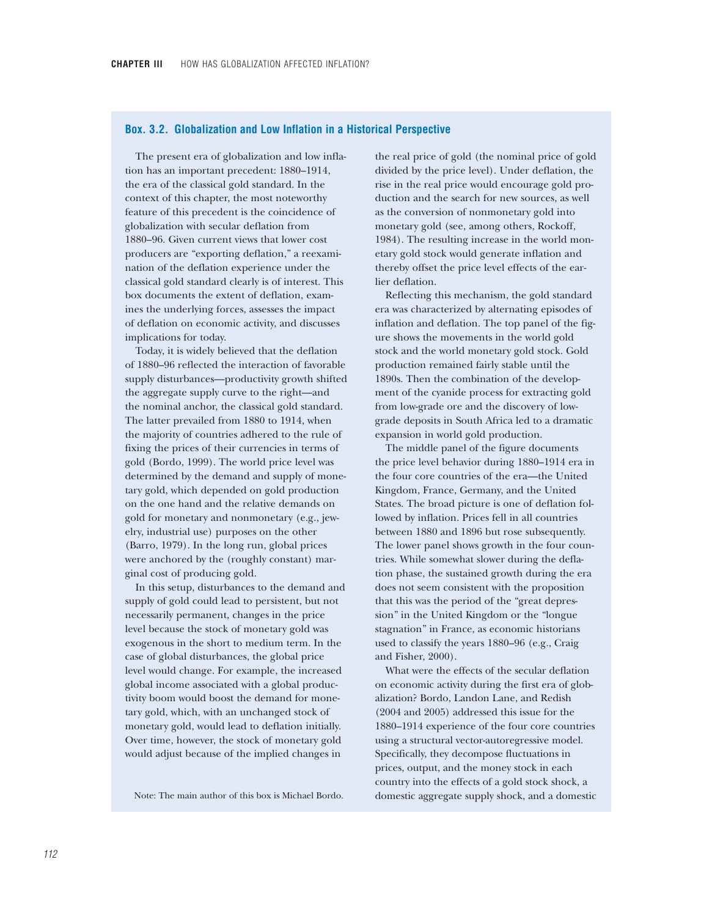### **Box. 3.2. Globalization and Low Inflation in a Historical Perspective**

The present era of globalization and low inflation has an important precedent: 1880–1914, the era of the classical gold standard. In the context of this chapter, the most noteworthy feature of this precedent is the coincidence of globalization with secular deflation from 1880–96. Given current views that lower cost producers are "exporting deflation," a reexamination of the deflation experience under the classical gold standard clearly is of interest. This box documents the extent of deflation, examines the underlying forces, assesses the impact of deflation on economic activity, and discusses implications for today.

Today, it is widely believed that the deflation of 1880–96 reflected the interaction of favorable supply disturbances—productivity growth shifted the aggregate supply curve to the right—and the nominal anchor, the classical gold standard. The latter prevailed from 1880 to 1914, when the majority of countries adhered to the rule of fixing the prices of their currencies in terms of gold (Bordo, 1999). The world price level was determined by the demand and supply of monetary gold, which depended on gold production on the one hand and the relative demands on gold for monetary and nonmonetary (e.g., jewelry, industrial use) purposes on the other (Barro, 1979). In the long run, global prices were anchored by the (roughly constant) marginal cost of producing gold.

In this setup, disturbances to the demand and supply of gold could lead to persistent, but not necessarily permanent, changes in the price level because the stock of monetary gold was exogenous in the short to medium term. In the case of global disturbances, the global price level would change. For example, the increased global income associated with a global productivity boom would boost the demand for monetary gold, which, with an unchanged stock of monetary gold, would lead to deflation initially. Over time, however, the stock of monetary gold would adjust because of the implied changes in

Note: The main author of this box is Michael Bordo.

the real price of gold (the nominal price of gold divided by the price level). Under deflation, the rise in the real price would encourage gold production and the search for new sources, as well as the conversion of nonmonetary gold into monetary gold (see, among others, Rockoff, 1984). The resulting increase in the world monetary gold stock would generate inflation and thereby offset the price level effects of the earlier deflation.

Reflecting this mechanism, the gold standard era was characterized by alternating episodes of inflation and deflation. The top panel of the figure shows the movements in the world gold stock and the world monetary gold stock. Gold production remained fairly stable until the 1890s. Then the combination of the development of the cyanide process for extracting gold from low-grade ore and the discovery of lowgrade deposits in South Africa led to a dramatic expansion in world gold production.

The middle panel of the figure documents the price level behavior during 1880–1914 era in the four core countries of the era—the United Kingdom, France, Germany, and the United States. The broad picture is one of deflation followed by inflation. Prices fell in all countries between 1880 and 1896 but rose subsequently. The lower panel shows growth in the four countries. While somewhat slower during the deflation phase, the sustained growth during the era does not seem consistent with the proposition that this was the period of the "great depression" in the United Kingdom or the "longue stagnation" in France, as economic historians used to classify the years 1880–96 (e.g., Craig and Fisher, 2000).

What were the effects of the secular deflation on economic activity during the first era of globalization? Bordo, Landon Lane, and Redish (2004 and 2005) addressed this issue for the 1880–1914 experience of the four core countries using a structural vector-autoregressive model. Specifically, they decompose fluctuations in prices, output, and the money stock in each country into the effects of a gold stock shock, a domestic aggregate supply shock, and a domestic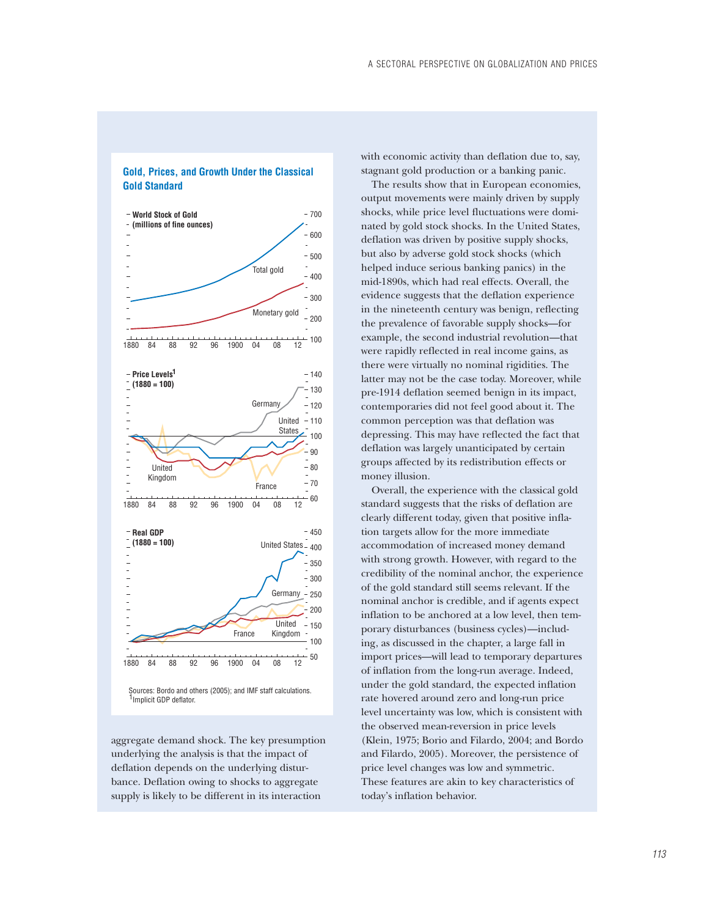

**Gold, Prices, and Growth Under the Classical Gold Standard**

aggregate demand shock. The key presumption underlying the analysis is that the impact of deflation depends on the underlying disturbance. Deflation owing to shocks to aggregate supply is likely to be different in its interaction

with economic activity than deflation due to, say, stagnant gold production or a banking panic.

The results show that in European economies, output movements were mainly driven by supply shocks, while price level fluctuations were dominated by gold stock shocks. In the United States, deflation was driven by positive supply shocks, but also by adverse gold stock shocks (which helped induce serious banking panics) in the mid-1890s, which had real effects. Overall, the evidence suggests that the deflation experience in the nineteenth century was benign, reflecting the prevalence of favorable supply shocks—for example, the second industrial revolution—that were rapidly reflected in real income gains, as there were virtually no nominal rigidities. The latter may not be the case today. Moreover, while pre-1914 deflation seemed benign in its impact, contemporaries did not feel good about it. The common perception was that deflation was depressing. This may have reflected the fact that deflation was largely unanticipated by certain groups affected by its redistribution effects or money illusion.

Overall, the experience with the classical gold standard suggests that the risks of deflation are clearly different today, given that positive inflation targets allow for the more immediate accommodation of increased money demand with strong growth. However, with regard to the credibility of the nominal anchor, the experience of the gold standard still seems relevant. If the nominal anchor is credible, and if agents expect inflation to be anchored at a low level, then temporary disturbances (business cycles)—including, as discussed in the chapter, a large fall in import prices—will lead to temporary departures of inflation from the long-run average. Indeed, under the gold standard, the expected inflation rate hovered around zero and long-run price level uncertainty was low, which is consistent with the observed mean-reversion in price levels (Klein, 1975; Borio and Filardo, 2004; and Bordo and Filardo, 2005). Moreover, the persistence of price level changes was low and symmetric. These features are akin to key characteristics of today's inflation behavior.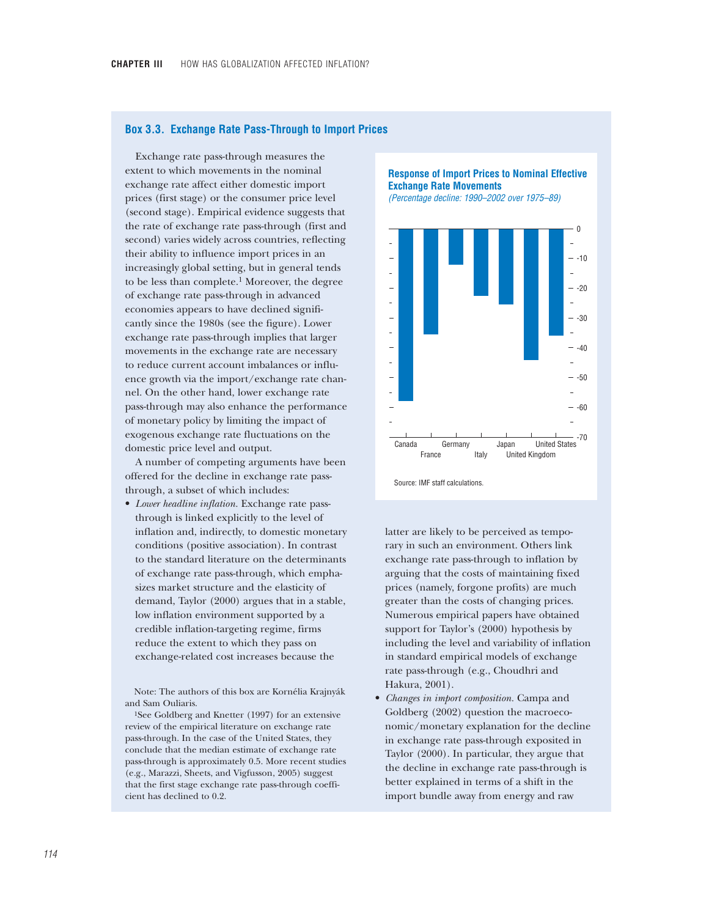### **Box 3.3. Exchange Rate Pass-Through to Import Prices**

Exchange rate pass-through measures the extent to which movements in the nominal exchange rate affect either domestic import prices (first stage) or the consumer price level (second stage). Empirical evidence suggests that the rate of exchange rate pass-through (first and second) varies widely across countries, reflecting their ability to influence import prices in an increasingly global setting, but in general tends to be less than complete.1 Moreover, the degree of exchange rate pass-through in advanced economies appears to have declined significantly since the 1980s (see the figure). Lower exchange rate pass-through implies that larger movements in the exchange rate are necessary to reduce current account imbalances or influence growth via the import/exchange rate channel. On the other hand, lower exchange rate pass-through may also enhance the performance of monetary policy by limiting the impact of exogenous exchange rate fluctuations on the domestic price level and output.

A number of competing arguments have been offered for the decline in exchange rate passthrough, a subset of which includes:

• *Lower headline inflation.* Exchange rate passthrough is linked explicitly to the level of inflation and, indirectly, to domestic monetary conditions (positive association). In contrast to the standard literature on the determinants of exchange rate pass-through, which emphasizes market structure and the elasticity of demand, Taylor (2000) argues that in a stable, low inflation environment supported by a credible inflation-targeting regime, firms reduce the extent to which they pass on exchange-related cost increases because the

Note: The authors of this box are Kornélia Krajnyák and Sam Ouliaris.

1See Goldberg and Knetter (1997) for an extensive review of the empirical literature on exchange rate pass-through. In the case of the United States, they conclude that the median estimate of exchange rate pass-through is approximately 0.5. More recent studies (e.g., Marazzi, Sheets, and Vigfusson, 2005) suggest that the first stage exchange rate pass-through coefficient has declined to 0.2.

**Response of Import Prices to Nominal Effective Exchange Rate Movements** 

*(Percentage decline: 1990–2002 over 1975–89)*



latter are likely to be perceived as temporary in such an environment. Others link exchange rate pass-through to inflation by arguing that the costs of maintaining fixed prices (namely, forgone profits) are much greater than the costs of changing prices. Numerous empirical papers have obtained support for Taylor's (2000) hypothesis by including the level and variability of inflation in standard empirical models of exchange rate pass-through (e.g., Choudhri and Hakura, 2001).

• *Changes in import composition.* Campa and Goldberg (2002) question the macroeconomic/monetary explanation for the decline in exchange rate pass-through exposited in Taylor (2000). In particular, they argue that the decline in exchange rate pass-through is better explained in terms of a shift in the import bundle away from energy and raw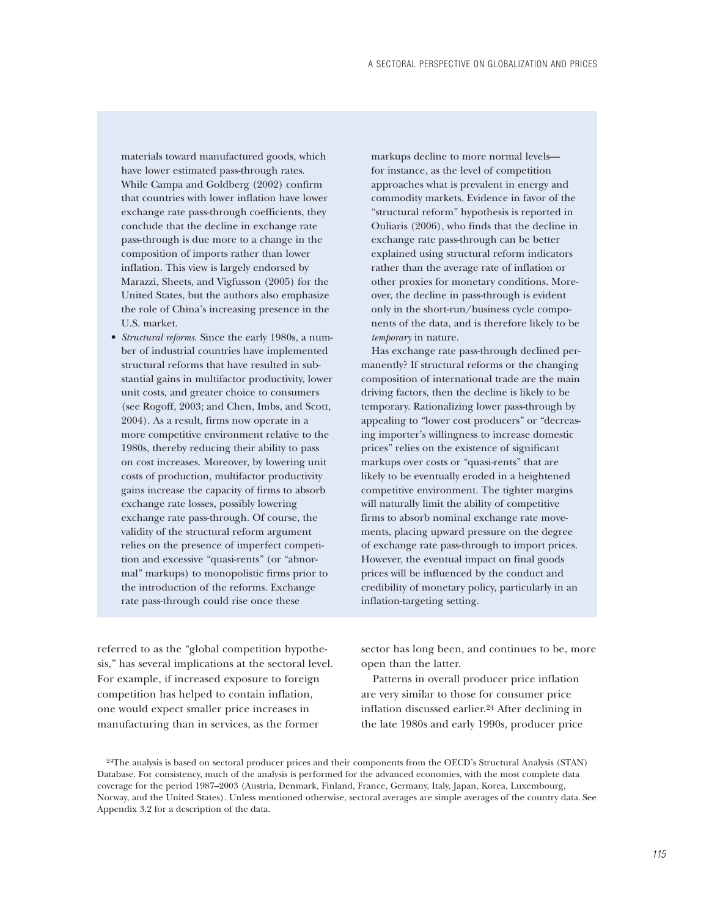materials toward manufactured goods, which have lower estimated pass-through rates. While Campa and Goldberg (2002) confirm that countries with lower inflation have lower exchange rate pass-through coefficients, they conclude that the decline in exchange rate pass-through is due more to a change in the composition of imports rather than lower inflation. This view is largely endorsed by Marazzi, Sheets, and Vigfusson (2005) for the United States, but the authors also emphasize the role of China's increasing presence in the U.S. market.

• *Structural reforms*. Since the early 1980s, a number of industrial countries have implemented structural reforms that have resulted in substantial gains in multifactor productivity, lower unit costs, and greater choice to consumers (see Rogoff, 2003; and Chen, Imbs, and Scott, 2004). As a result, firms now operate in a more competitive environment relative to the 1980s, thereby reducing their ability to pass on cost increases. Moreover, by lowering unit costs of production, multifactor productivity gains increase the capacity of firms to absorb exchange rate losses, possibly lowering exchange rate pass-through. Of course, the validity of the structural reform argument relies on the presence of imperfect competition and excessive "quasi-rents" (or "abnormal" markups) to monopolistic firms prior to the introduction of the reforms. Exchange rate pass-through could rise once these

markups decline to more normal levels–– for instance, as the level of competition approaches what is prevalent in energy and commodity markets. Evidence in favor of the "structural reform" hypothesis is reported in Ouliaris (2006), who finds that the decline in exchange rate pass-through can be better explained using structural reform indicators rather than the average rate of inflation or other proxies for monetary conditions. Moreover, the decline in pass-through is evident only in the short-run/business cycle components of the data, and is therefore likely to be *temporary* in nature.

Has exchange rate pass-through declined permanently? If structural reforms or the changing composition of international trade are the main driving factors, then the decline is likely to be temporary. Rationalizing lower pass-through by appealing to "lower cost producers" or "decreasing importer's willingness to increase domestic prices" relies on the existence of significant markups over costs or "quasi-rents" that are likely to be eventually eroded in a heightened competitive environment. The tighter margins will naturally limit the ability of competitive firms to absorb nominal exchange rate movements, placing upward pressure on the degree of exchange rate pass-through to import prices. However, the eventual impact on final goods prices will be influenced by the conduct and credibility of monetary policy, particularly in an inflation-targeting setting.

referred to as the "global competition hypothesis," has several implications at the sectoral level. For example, if increased exposure to foreign competition has helped to contain inflation, one would expect smaller price increases in manufacturing than in services, as the former

sector has long been, and continues to be, more open than the latter.

Patterns in overall producer price inflation are very similar to those for consumer price inflation discussed earlier.24 After declining in the late 1980s and early 1990s, producer price

<sup>24</sup>The analysis is based on sectoral producer prices and their components from the OECD's Structural Analysis (STAN) Database. For consistency, much of the analysis is performed for the advanced economies, with the most complete data coverage for the period 1987–2003 (Austria, Denmark, Finland, France, Germany, Italy, Japan, Korea, Luxembourg, Norway, and the United States). Unless mentioned otherwise, sectoral averages are simple averages of the country data. See Appendix 3.2 for a description of the data.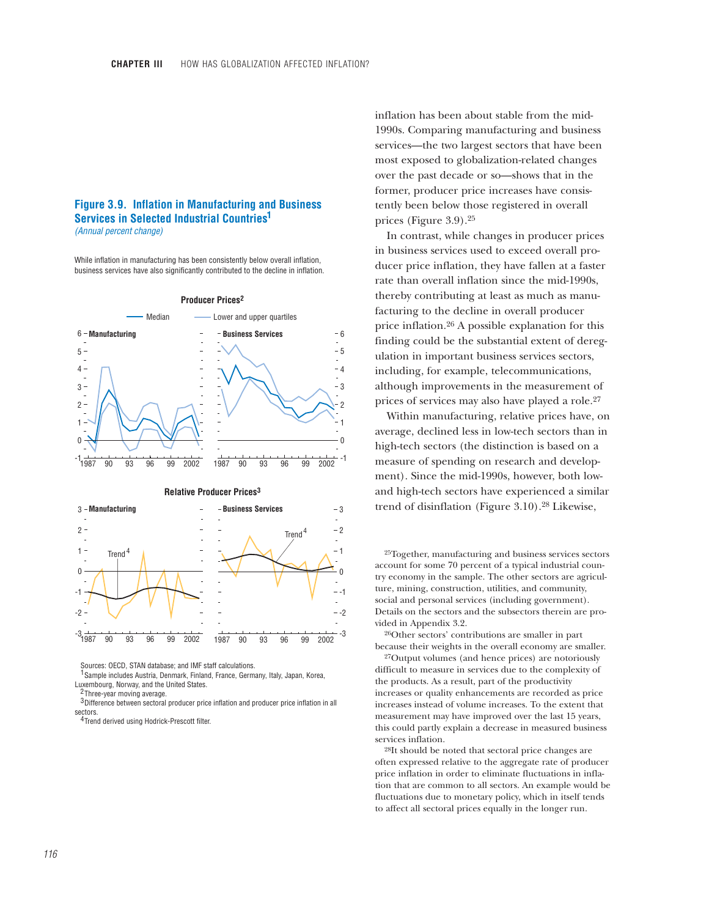### **Figure 3.9. Inflation in Manufacturing and Business Services in Selected Industrial Countries 1** *(Annual percent change)*

While inflation in manufacturing has been consistently below overall inflation, business services have also significantly contributed to the decline in inflation.



Sources: OECD, STAN database; and IMF staff calculations.

<sup>1</sup> Sample includes Austria, Denmark, Finland, France, Germany, Italy, Japan, Korea, Luxembourg, Norway, and the United States.

Three-year moving average. 2

 $3$  Difference between sectoral producer price inflation and producer price inflation in all sectors.

<sup>4</sup> Trend derived using Hodrick-Prescott filter.

inflation has been about stable from the mid-1990s. Comparing manufacturing and business services—the two largest sectors that have been most exposed to globalization-related changes over the past decade or so—shows that in the former, producer price increases have consistently been below those registered in overall prices (Figure 3.9).25

In contrast, while changes in producer prices in business services used to exceed overall producer price inflation, they have fallen at a faster rate than overall inflation since the mid-1990s, thereby contributing at least as much as manufacturing to the decline in overall producer price inflation.26 A possible explanation for this finding could be the substantial extent of deregulation in important business services sectors, including, for example, telecommunications, although improvements in the measurement of prices of services may also have played a role.27

Within manufacturing, relative prices have, on average, declined less in low-tech sectors than in high-tech sectors (the distinction is based on a measure of spending on research and development). Since the mid-1990s, however, both lowand high-tech sectors have experienced a similar trend of disinflation (Figure 3.10).28 Likewise,

25Together, manufacturing and business services sectors account for some 70 percent of a typical industrial country economy in the sample. The other sectors are agriculture, mining, construction, utilities, and community, social and personal services (including government). Details on the sectors and the subsectors therein are provided in Appendix 3.2.

26Other sectors' contributions are smaller in part because their weights in the overall economy are smaller.

27Output volumes (and hence prices) are notoriously difficult to measure in services due to the complexity of the products. As a result, part of the productivity increases or quality enhancements are recorded as price increases instead of volume increases. To the extent that measurement may have improved over the last 15 years, this could partly explain a decrease in measured business services inflation.

28It should be noted that sectoral price changes are often expressed relative to the aggregate rate of producer price inflation in order to eliminate fluctuations in inflation that are common to all sectors. An example would be fluctuations due to monetary policy, which in itself tends to affect all sectoral prices equally in the longer run.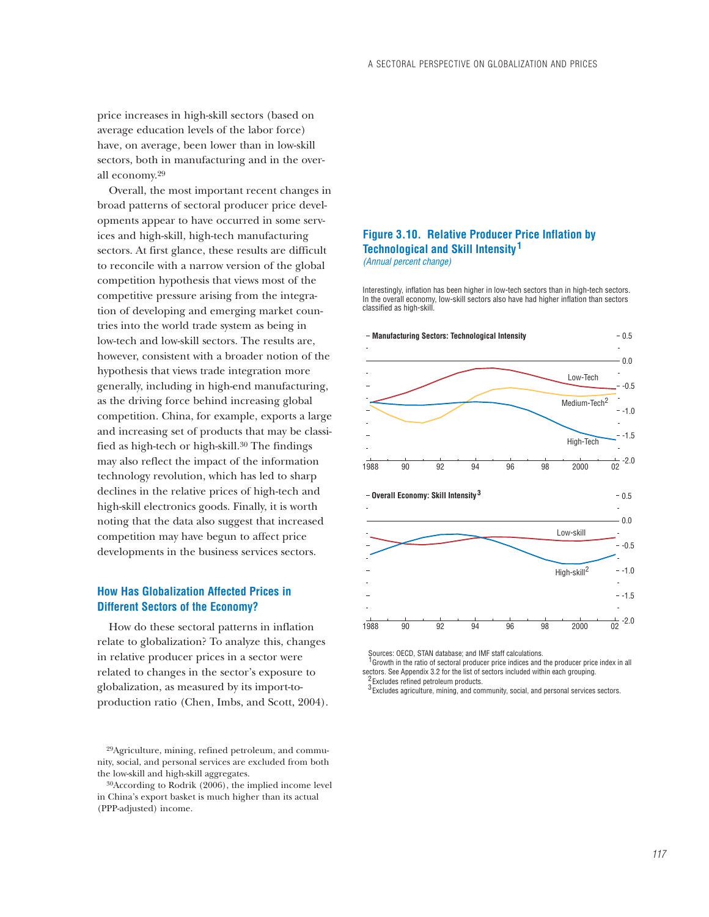price increases in high-skill sectors (based on average education levels of the labor force) have, on average, been lower than in low-skill sectors, both in manufacturing and in the overall economy.29

Overall, the most important recent changes in broad patterns of sectoral producer price developments appear to have occurred in some services and high-skill, high-tech manufacturing sectors. At first glance, these results are difficult to reconcile with a narrow version of the global competition hypothesis that views most of the competitive pressure arising from the integration of developing and emerging market countries into the world trade system as being in low-tech and low-skill sectors. The results are, however, consistent with a broader notion of the hypothesis that views trade integration more generally, including in high-end manufacturing, as the driving force behind increasing global competition. China, for example, exports a large and increasing set of products that may be classified as high-tech or high-skill.30 The findings may also reflect the impact of the information technology revolution, which has led to sharp declines in the relative prices of high-tech and high-skill electronics goods. Finally, it is worth noting that the data also suggest that increased competition may have begun to affect price developments in the business services sectors.

# **How Has Globalization Affected Prices in Different Sectors of the Economy?**

How do these sectoral patterns in inflation relate to globalization? To analyze this, changes in relative producer prices in a sector were related to changes in the sector's exposure to globalization, as measured by its import-toproduction ratio (Chen, Imbs, and Scott, 2004).

29Agriculture, mining, refined petroleum, and community, social, and personal services are excluded from both the low-skill and high-skill aggregates.

## **Figure 3.10. Relative Producer Price Inflation by Technological and Skill Intensity 1** *(Annual percent change)*

Interestingly, inflation has been higher in low-tech sectors than in high-tech sectors. In the overall economy, low-skill sectors also have had higher inflation than sectors classified as high-skill.



 Sources: OECD, STAN database; and IMF staff calculations. Growth in the ratio of sectoral producer price indices and the producer price index in all 1 sectors. See Appendix 3.2 for the list of sectors included within each grouping. <sup>2</sup> Excludes refined petroleum products.

 $3$  Excludes agriculture, mining, and community, social, and personal services sectors.

<sup>30</sup>According to Rodrik (2006), the implied income level in China's export basket is much higher than its actual (PPP-adjusted) income.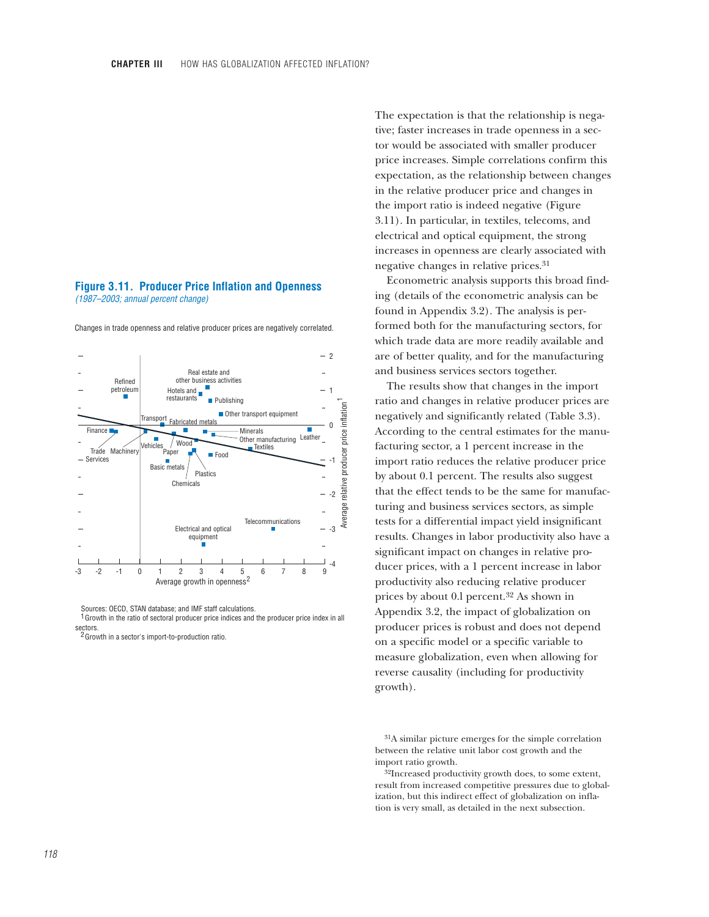#### **Figure 3.11. Producer Price Inflation and Openness** *(1987–2003; annual percent change)*



Changes in trade openness and relative producer prices are negatively correlated.

Sources: OECD, STAN database; and IMF staff calculations. <sup>1</sup> Growth in the ratio of sectoral producer price indices and the producer price index in all sectors.

<sup>2</sup> Growth in a sector's import-to-production ratio.

The expectation is that the relationship is negative; faster increases in trade openness in a sector would be associated with smaller producer price increases. Simple correlations confirm this expectation, as the relationship between changes in the relative producer price and changes in the import ratio is indeed negative (Figure 3.11). In particular, in textiles, telecoms, and electrical and optical equipment, the strong increases in openness are clearly associated with negative changes in relative prices.31

Econometric analysis supports this broad finding (details of the econometric analysis can be found in Appendix 3.2). The analysis is performed both for the manufacturing sectors, for which trade data are more readily available and are of better quality, and for the manufacturing and business services sectors together.

The results show that changes in the import ratio and changes in relative producer prices are negatively and significantly related (Table 3.3). According to the central estimates for the manufacturing sector, a 1 percent increase in the import ratio reduces the relative producer price by about 0.1 percent. The results also suggest that the effect tends to be the same for manufacturing and business services sectors, as simple tests for a differential impact yield insignificant results. Changes in labor productivity also have a significant impact on changes in relative producer prices, with a 1 percent increase in labor productivity also reducing relative producer prices by about 0.l percent.32 As shown in Appendix 3.2, the impact of globalization on producer prices is robust and does not depend on a specific model or a specific variable to measure globalization, even when allowing for reverse causality (including for productivity growth).

31A similar picture emerges for the simple correlation between the relative unit labor cost growth and the import ratio growth.

32Increased productivity growth does, to some extent, result from increased competitive pressures due to globalization, but this indirect effect of globalization on inflation is very small, as detailed in the next subsection.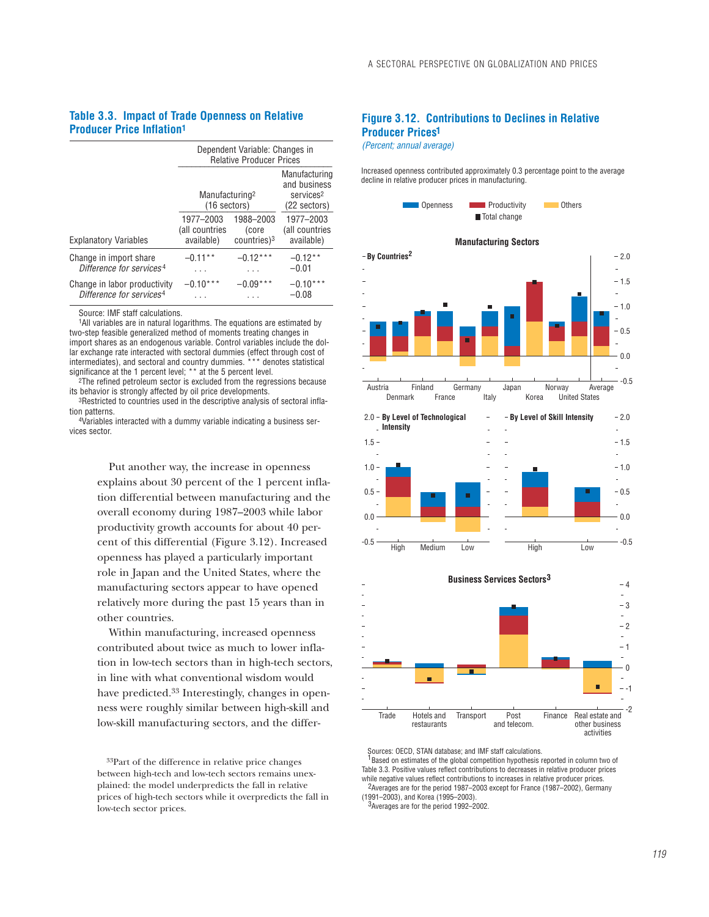### **Table 3.3. Impact of Trade Openness on Relative Producer Price Inflation1**

|                                                                      | Dependent Variable: Changes in<br><b>Relative Producer Prices</b> |                                                                        |                                           |  |  |
|----------------------------------------------------------------------|-------------------------------------------------------------------|------------------------------------------------------------------------|-------------------------------------------|--|--|
|                                                                      | Manufacturing <sup>2</sup><br>(16 sectors)                        | Manufacturing<br>and business<br>services <sup>2</sup><br>(22 sectors) |                                           |  |  |
| <b>Explanatory Variables</b>                                         | 1977-2003<br>(all countries<br>available)                         | 1988-2003<br>(core<br>$countries$ <sup>3</sup>                         | 1977-2003<br>(all countries<br>available) |  |  |
| Change in import share<br>Difference for services <sup>4</sup>       | $-0.11**$<br>.                                                    | $-0.12***$<br>.                                                        | $-0.12**$<br>$-0.01$                      |  |  |
| Change in labor productivity<br>Difference for services <sup>4</sup> | $-0.10***$                                                        | $-0.09$                                                                | $-0.10***$<br>$-0.08$                     |  |  |

Source: IMF staff calculations.

1All variables are in natural logarithms. The equations are estimated by two-step feasible generalized method of moments treating changes in import shares as an endogenous variable. Control variables include the dollar exchange rate interacted with sectoral dummies (effect through cost of intermediates), and sectoral and country dummies. \*\*\* denotes statistical significance at the 1 percent level; \*\* at the 5 percent level.

<sup>2</sup>The refined petroleum sector is excluded from the regressions because its behavior is strongly affected by oil price developments.

3Restricted to countries used in the descriptive analysis of sectoral inflation patterns.

4Variables interacted with a dummy variable indicating a business services sector.

> Put another way, the increase in openness explains about 30 percent of the 1 percent inflation differential between manufacturing and the overall economy during 1987–2003 while labor productivity growth accounts for about 40 percent of this differential (Figure 3.12). Increased openness has played a particularly important role in Japan and the United States, where the manufacturing sectors appear to have opened relatively more during the past 15 years than in other countries.

Within manufacturing, increased openness contributed about twice as much to lower inflation in low-tech sectors than in high-tech sectors, in line with what conventional wisdom would have predicted.33 Interestingly, changes in openness were roughly similar between high-skill and low-skill manufacturing sectors, and the differ-

33Part of the difference in relative price changes between high-tech and low-tech sectors remains unexplained: the model underpredicts the fall in relative prices of high-tech sectors while it overpredicts the fall in low-tech sector prices.

# **Figure 3.12. Contributions to Declines in Relative Producer Prices 1**

*(Percent; annual average)*

Increased openness contributed approximately 0.3 percentage point to the average decline in relative producer prices in manufacturing.



Sources: OECD, STAN database; and IMF staff calculations.  $1$ Based on estimates of the global competition hypothesis reported in column two of Table 3.3. Positive values reflect contributions to decreases in relative producer prices while negative values reflect contributions to increases in relative producer prices. <sup>2</sup> Averages are for the period 1987–2003 except for France (1987–2002), Germany

(1991–2003), and Korea (1995–2003).  $3$ Averages are for the period 1992-2002.

activities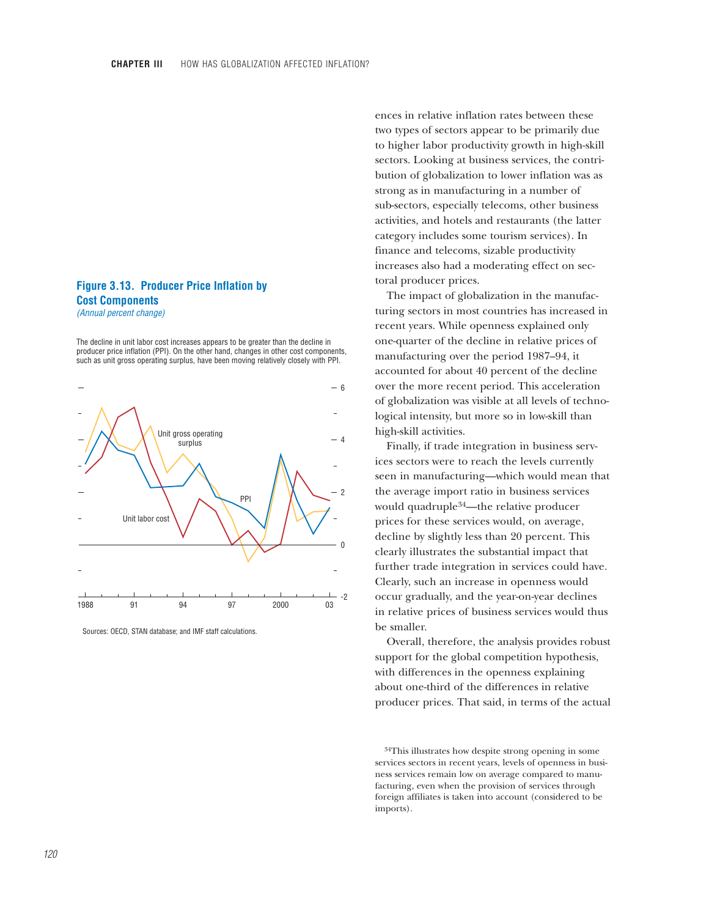# **Figure 3.13. Producer Price Inflation by Cost Components** *(Annual percent change)*

The decline in unit labor cost increases appears to be greater than the decline in producer price inflation (PPI). On the other hand, changes in other cost components, such as unit gross operating surplus, have been moving relatively closely with PPI.



Sources: OECD, STAN database; and IMF staff calculations.

ences in relative inflation rates between these two types of sectors appear to be primarily due to higher labor productivity growth in high-skill sectors. Looking at business services, the contribution of globalization to lower inflation was as strong as in manufacturing in a number of sub-sectors, especially telecoms, other business activities, and hotels and restaurants (the latter category includes some tourism services). In finance and telecoms, sizable productivity increases also had a moderating effect on sectoral producer prices.

The impact of globalization in the manufacturing sectors in most countries has increased in recent years. While openness explained only one-quarter of the decline in relative prices of manufacturing over the period 1987–94, it accounted for about 40 percent of the decline over the more recent period. This acceleration of globalization was visible at all levels of technological intensity, but more so in low-skill than high-skill activities.

Finally, if trade integration in business services sectors were to reach the levels currently seen in manufacturing—which would mean that the average import ratio in business services would quadruple34—the relative producer prices for these services would, on average, decline by slightly less than 20 percent. This clearly illustrates the substantial impact that further trade integration in services could have. Clearly, such an increase in openness would occur gradually, and the year-on-year declines in relative prices of business services would thus be smaller.

Overall, therefore, the analysis provides robust support for the global competition hypothesis, with differences in the openness explaining about one-third of the differences in relative producer prices. That said, in terms of the actual

<sup>34</sup>This illustrates how despite strong opening in some services sectors in recent years, levels of openness in business services remain low on average compared to manufacturing, even when the provision of services through foreign affiliates is taken into account (considered to be imports).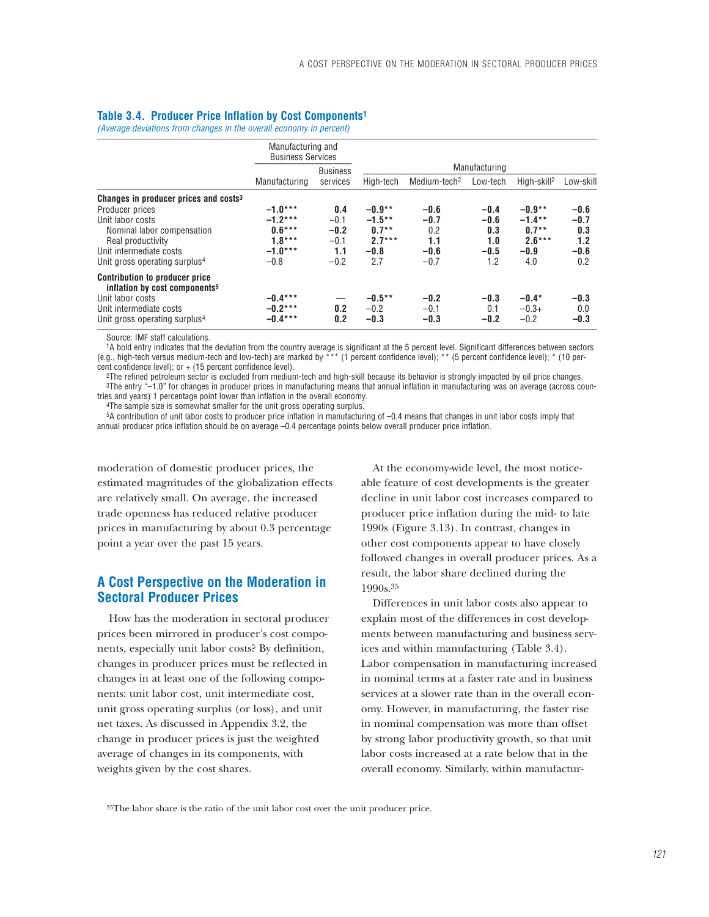### **Table 3.4. Producer Price Inflation by Cost Components1**

*(Average deviations from changes in the overall economy in percent)*

|                                                                                    | Manufacturing and<br><b>Business Services</b> |                 |           |                          |               |                         |           |
|------------------------------------------------------------------------------------|-----------------------------------------------|-----------------|-----------|--------------------------|---------------|-------------------------|-----------|
|                                                                                    |                                               | <b>Business</b> |           |                          | Manufacturing |                         |           |
|                                                                                    | Manufacturing                                 | services        | High-tech | Medium-tech <sup>2</sup> | Low-tech      | High-skill <sup>2</sup> | Low-skill |
| Changes in producer prices and costs <sup>3</sup>                                  |                                               |                 |           |                          |               |                         |           |
| Producer prices                                                                    | $-1.0***$                                     | 0.4             | $-0.9**$  | $-0.6$                   | $-0.4$        | $-0.9**$                | $-0.6$    |
| Unit labor costs                                                                   | $-1.2***$                                     | $-0.1$          | $-1.5***$ | $-0.7$                   | $-0.6$        | $-1.4**$                | $-0.7$    |
| Nominal labor compensation                                                         | $0.6***$                                      | $-0.2$          | $0.7**$   | 0.2                      | 0.3           | $0.7**$                 | 0.3       |
| Real productivity                                                                  | $1.8***$                                      | $-0.1$          | $2.7***$  | 1.1                      | 1.0           | $2.6***$                | 1.2       |
| Unit intermediate costs                                                            | $-1.0***$                                     | 1.1             | $-0.8$    | $-0.6$                   | $-0.5$        | $-0.9$                  | $-0.6$    |
| Unit gross operating surplus <sup>4</sup>                                          | $-0.8$                                        | $-0.2$          | 2.7       | $-0.7$                   | 1.2           | 4.0                     | 0.2       |
| <b>Contribution to producer price</b><br>inflation by cost components <sup>5</sup> |                                               |                 |           |                          |               |                         |           |
| Unit labor costs                                                                   | $-0.4***$                                     |                 | $-0.5***$ | $-0.2$                   | $-0.3$        | $-0.4*$                 | $-0.3$    |
| Unit intermediate costs                                                            | $-0.2***$                                     | 0.2             | $-0.2$    | $-0.1$                   | 0.1           | $-0.3+$                 | 0.0       |
| Unit gross operating surplus <sup>4</sup>                                          | $-0.4***$                                     | 0.2             | $-0.3$    | $-0.3$                   | $-0.2$        | $-0.2$                  | $-0.3$    |

Source: IMF staff calculations.

1A bold entry indicates that the deviation from the country average is significant at the 5 percent level. Significant differences between sectors (e.g., high-tech versus medium-tech and low-tech) are marked by \*\*\* (1 percent confidence level); \*\* (5 percent confidence level); \* (10 percent confidence level); or  $+$  (15 percent confidence level).

2The refined petroleum sector is excluded from medium-tech and high-skill because its behavior is strongly impacted by oil price changes. 3The entry "–1.0" for changes in producer prices in manufacturing means that annual inflation in manufacturing was on average (across countries and years) 1 percentage point lower than inflation in the overall economy.

4The sample size is somewhat smaller for the unit gross operating surplus.

5A contribution of unit labor costs to producer price inflation in manufacturing of –0.4 means that changes in unit labor costs imply that annual producer price inflation should be on average –0.4 percentage points below overall producer price inflation.

moderation of domestic producer prices, the estimated magnitudes of the globalization effects are relatively small. On average, the increased trade openness has reduced relative producer prices in manufacturing by about 0.3 percentage point a year over the past 15 years.

# **A Cost Perspective on the Moderation in Sectoral Producer Prices**

How has the moderation in sectoral producer prices been mirrored in producer's cost components, especially unit labor costs? By definition, changes in producer prices must be reflected in changes in at least one of the following components: unit labor cost, unit intermediate cost, unit gross operating surplus (or loss), and unit net taxes. As discussed in Appendix 3.2, the change in producer prices is just the weighted average of changes in its components, with weights given by the cost shares.

At the economy-wide level, the most noticeable feature of cost developments is the greater decline in unit labor cost increases compared to producer price inflation during the mid- to late 1990s (Figure 3.13). In contrast, changes in other cost components appear to have closely followed changes in overall producer prices. As a result, the labor share declined during the 1990s.35

Differences in unit labor costs also appear to explain most of the differences in cost developments between manufacturing and business services and within manufacturing (Table 3.4). Labor compensation in manufacturing increased in nominal terms at a faster rate and in business services at a slower rate than in the overall economy. However, in manufacturing, the faster rise in nominal compensation was more than offset by strong labor productivity growth, so that unit labor costs increased at a rate below that in the overall economy. Similarly, within manufactur-

35The labor share is the ratio of the unit labor cost over the unit producer price.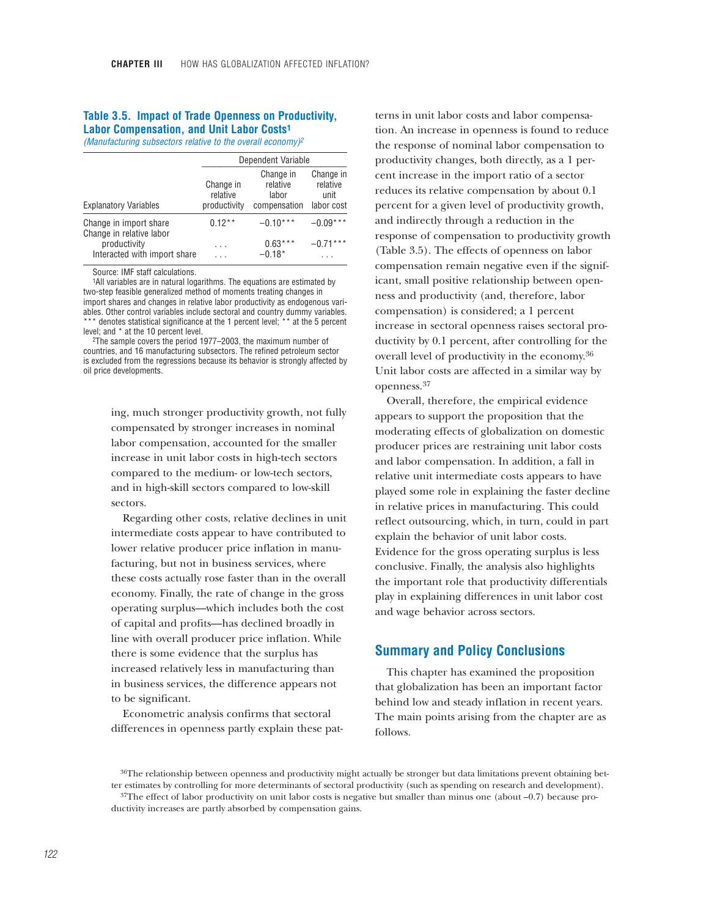#### **Table 3.5. Impact of Trade Openness on Productivity, Labor Compensation, and Unit Labor Costs1**

*(Manufacturing subsectors relative to the overall economy)2*

|                                                    | Dependent Variable                    |                                                |                                             |  |  |  |
|----------------------------------------------------|---------------------------------------|------------------------------------------------|---------------------------------------------|--|--|--|
| <b>Explanatory Variables</b>                       | Change in<br>relative<br>productivity | Change in<br>relative<br>labor<br>compensation | Change in<br>relative<br>unit<br>labor cost |  |  |  |
| Change in import share<br>Change in relative labor | $0.12**$                              | $-0.10***$                                     | $-0.09***$                                  |  |  |  |
| productivity<br>Interacted with import share       | .                                     | $0.63***$<br>$-0.18*$                          | $-0.71***$                                  |  |  |  |

Source: IMF staff calculations.

1All variables are in natural logarithms. The equations are estimated by two-step feasible generalized method of moments treating changes in import shares and changes in relative labor productivity as endogenous variables. Other control variables include sectoral and country dummy variables. \*\* denotes statistical significance at the 1 percent level; \*\* at the 5 percent level; and \* at the 10 percent level.

2The sample covers the period 1977–2003, the maximum number of countries, and 16 manufacturing subsectors. The refined petroleum sector is excluded from the regressions because its behavior is strongly affected by oil price developments.

> ing, much stronger productivity growth, not fully compensated by stronger increases in nominal labor compensation, accounted for the smaller increase in unit labor costs in high-tech sectors compared to the medium- or low-tech sectors, and in high-skill sectors compared to low-skill sectors.

> Regarding other costs, relative declines in unit intermediate costs appear to have contributed to lower relative producer price inflation in manufacturing, but not in business services, where these costs actually rose faster than in the overall economy. Finally, the rate of change in the gross operating surplus—which includes both the cost of capital and profits—has declined broadly in line with overall producer price inflation. While there is some evidence that the surplus has increased relatively less in manufacturing than in business services, the difference appears not to be significant.

Econometric analysis confirms that sectoral differences in openness partly explain these patterns in unit labor costs and labor compensation. An increase in openness is found to reduce the response of nominal labor compensation to productivity changes, both directly, as a 1 percent increase in the import ratio of a sector reduces its relative compensation by about 0.1 percent for a given level of productivity growth, and indirectly through a reduction in the response of compensation to productivity growth (Table 3.5). The effects of openness on labor compensation remain negative even if the significant, small positive relationship between openness and productivity (and, therefore, labor compensation) is considered; a 1 percent increase in sectoral openness raises sectoral productivity by 0.1 percent, after controlling for the overall level of productivity in the economy.36 Unit labor costs are affected in a similar way by openness.37

Overall, therefore, the empirical evidence appears to support the proposition that the moderating effects of globalization on domestic producer prices are restraining unit labor costs and labor compensation. In addition, a fall in relative unit intermediate costs appears to have played some role in explaining the faster decline in relative prices in manufacturing. This could reflect outsourcing, which, in turn, could in part explain the behavior of unit labor costs. Evidence for the gross operating surplus is less conclusive. Finally, the analysis also highlights the important role that productivity differentials play in explaining differences in unit labor cost and wage behavior across sectors.

# **Summary and Policy Conclusions**

This chapter has examined the proposition that globalization has been an important factor behind low and steady inflation in recent years. The main points arising from the chapter are as follows.

<sup>36</sup>The relationship between openness and productivity might actually be stronger but data limitations prevent obtaining better estimates by controlling for more determinants of sectoral productivity (such as spending on research and development).

 $37$ The effect of labor productivity on unit labor costs is negative but smaller than minus one (about  $-0.7$ ) because productivity increases are partly absorbed by compensation gains.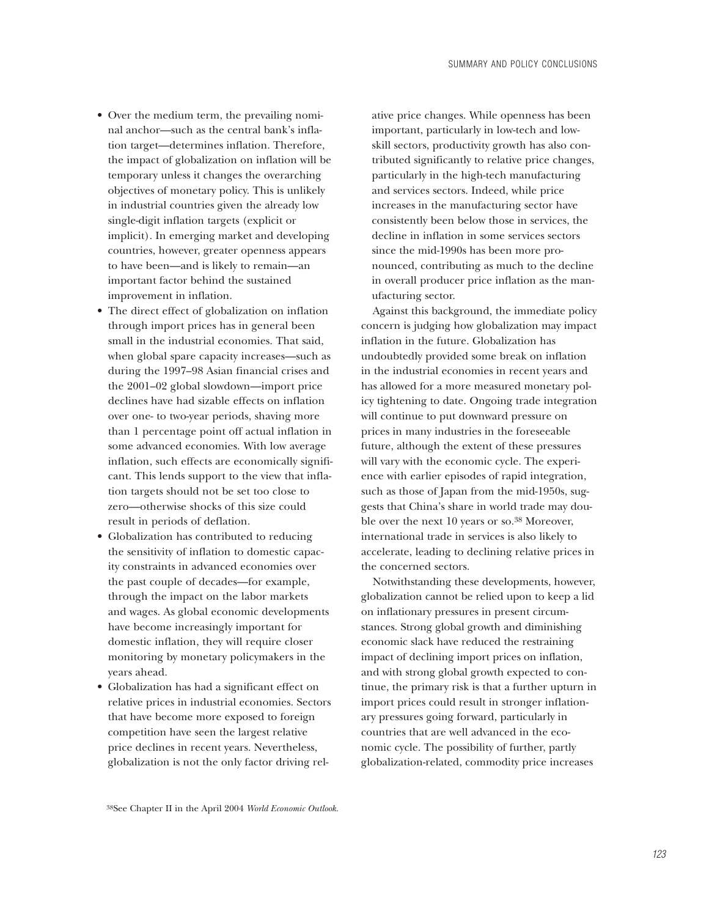- Over the medium term, the prevailing nominal anchor—such as the central bank's inflation target—determines inflation. Therefore, the impact of globalization on inflation will be temporary unless it changes the overarching objectives of monetary policy. This is unlikely in industrial countries given the already low single-digit inflation targets (explicit or implicit). In emerging market and developing countries, however, greater openness appears to have been—and is likely to remain—an important factor behind the sustained improvement in inflation.
- The direct effect of globalization on inflation through import prices has in general been small in the industrial economies. That said, when global spare capacity increases—such as during the 1997–98 Asian financial crises and the 2001–02 global slowdown—import price declines have had sizable effects on inflation over one- to two-year periods, shaving more than 1 percentage point off actual inflation in some advanced economies. With low average inflation, such effects are economically significant. This lends support to the view that inflation targets should not be set too close to zero—otherwise shocks of this size could result in periods of deflation.
- Globalization has contributed to reducing the sensitivity of inflation to domestic capacity constraints in advanced economies over the past couple of decades—for example, through the impact on the labor markets and wages. As global economic developments have become increasingly important for domestic inflation, they will require closer monitoring by monetary policymakers in the years ahead.
- Globalization has had a significant effect on relative prices in industrial economies. Sectors that have become more exposed to foreign competition have seen the largest relative price declines in recent years. Nevertheless, globalization is not the only factor driving rel-

ative price changes. While openness has been important, particularly in low-tech and lowskill sectors, productivity growth has also contributed significantly to relative price changes, particularly in the high-tech manufacturing and services sectors. Indeed, while price increases in the manufacturing sector have consistently been below those in services, the decline in inflation in some services sectors since the mid-1990s has been more pronounced, contributing as much to the decline in overall producer price inflation as the manufacturing sector.

Against this background, the immediate policy concern is judging how globalization may impact inflation in the future. Globalization has undoubtedly provided some break on inflation in the industrial economies in recent years and has allowed for a more measured monetary policy tightening to date. Ongoing trade integration will continue to put downward pressure on prices in many industries in the foreseeable future, although the extent of these pressures will vary with the economic cycle. The experience with earlier episodes of rapid integration, such as those of Japan from the mid-1950s, suggests that China's share in world trade may double over the next 10 years or so.<sup>38</sup> Moreover, international trade in services is also likely to accelerate, leading to declining relative prices in the concerned sectors.

Notwithstanding these developments, however, globalization cannot be relied upon to keep a lid on inflationary pressures in present circumstances. Strong global growth and diminishing economic slack have reduced the restraining impact of declining import prices on inflation, and with strong global growth expected to continue, the primary risk is that a further upturn in import prices could result in stronger inflationary pressures going forward, particularly in countries that are well advanced in the economic cycle. The possibility of further, partly globalization-related, commodity price increases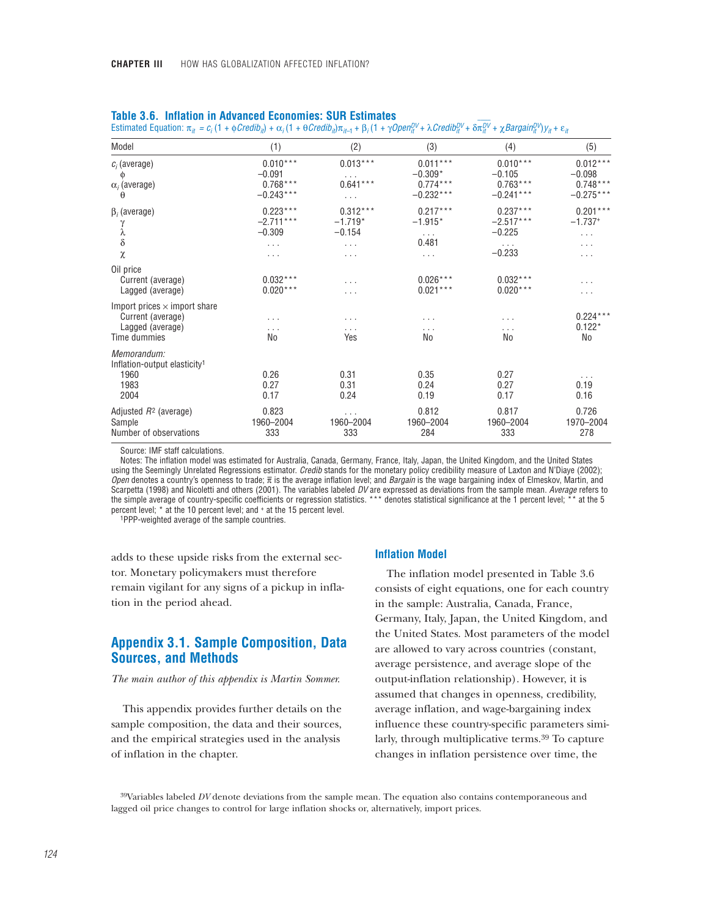| Model                                                                                        | (1)                                                           | (2)                                              | (3)                                                      | (4)                                                           | (5)                                                 |
|----------------------------------------------------------------------------------------------|---------------------------------------------------------------|--------------------------------------------------|----------------------------------------------------------|---------------------------------------------------------------|-----------------------------------------------------|
| $c_i$ (average)<br>Ф<br>$\alpha_i$ (average)<br>θ                                            | $0.010***$<br>$-0.091$<br>$0.768***$<br>$-0.243***$           | $0.013***$<br>$\cdots$<br>$0.641***$<br>$\cdots$ | $0.011***$<br>$-0.309*$<br>$0.774***$<br>$-0.232***$     | $0.010***$<br>$-0.105$<br>$0.763***$<br>$-0.241***$           | $0.012***$<br>$-0.098$<br>$0.748***$<br>$-0.275***$ |
| $\beta_i$ (average)<br>γ<br>λ<br>$\delta$<br>χ                                               | $0.223***$<br>$-2.711***$<br>$-0.309$<br>$\cdots$<br>$\cdots$ | $0.312***$<br>$-1.719*$<br>$-0.154$<br>.<br>.    | $0.217***$<br>$-1.915*$<br>$\cdots$<br>0.481<br>$\cdots$ | $0.237***$<br>$-2.517***$<br>$-0.225$<br>$\cdots$<br>$-0.233$ | $0.201***$<br>$-1.737+$<br>.<br>.<br>.              |
| Oil price<br>Current (average)<br>Lagged (average)                                           | $0.032***$<br>$0.020***$                                      | .<br>.                                           | $0.026***$<br>$0.021***$                                 | $0.032***$<br>$0.020***$                                      | .<br>.                                              |
| Import prices $\times$ import share<br>Current (average)<br>Lagged (average)<br>Time dummies | $\cdots$<br>.<br>No                                           | .<br>.<br>Yes                                    | .<br>.<br>No                                             | .<br>.<br>No                                                  | $0.224***$<br>$0.122*$<br>No                        |
| Memorandum:<br>Inflation-output elasticity <sup>1</sup><br>1960<br>1983<br>2004              | 0.26<br>0.27<br>0.17                                          | 0.31<br>0.31<br>0.24                             | 0.35<br>0.24<br>0.19                                     | 0.27<br>0.27<br>0.17                                          | .<br>0.19<br>0.16                                   |
| Adjusted $R^2$ (average)<br>Sample<br>Number of observations                                 | 0.823<br>1960-2004<br>333                                     | $\cdots$<br>1960-2004<br>333                     | 0.812<br>1960-2004<br>284                                | 0.817<br>1960-2004<br>333                                     | 0.726<br>1970-2004<br>278                           |

|  | <b>Table 3.6. Inflation in Advanced Economies: SUR Estimates</b> |  |  |  |  |
|--|------------------------------------------------------------------|--|--|--|--|
|--|------------------------------------------------------------------|--|--|--|--|

Estimated Equation:  $\pi_{it} = c_i (1 + \phi Credib_{it}) + \alpha_i (1 + \theta Credib_{it}) \pi_{it-1} + \beta_i (1 + \gamma OpenitU^U + \lambda Credib_{it}^{DV} + \delta \pi_{it}^{DV})$  $\overline{\pi_{it}^{DV}}$  + χ*Bargain* $_{it}^{DV}$ ) $y_{it}$  + ε<sub>*it</sub>*</sub>

Source: IMF staff calculations.

Notes: The inflation model was estimated for Australia, Canada, Germany, France, Italy, Japan, the United Kingdom, and the United States using the Seemingly Unrelated Regressions estimator. *Credib* stands for the monetary policy credibility measure of Laxton and N'Diaye (2002); *Open* denotes a country's openness to trade; π – is the average inflation level; and *Bargain* is the wage bargaining index of Elmeskov, Martin, and Scarpetta (1998) and Nicoletti and others (2001). The variables labeled *DV* are expressed as deviations from the sample mean. *Average* refers to the simple average of country-specific coefficients or regression statistics. \*\*\* denotes statistical significance at the 1 percent level; \*\* at the 5 percent level; \* at the 10 percent level; and + at the 15 percent level. 1PPP-weighted average of the sample countries.

adds to these upside risks from the external sector. Monetary policymakers must therefore remain vigilant for any signs of a pickup in inflation in the period ahead.

# **Appendix 3.1. Sample Composition, Data Sources, and Methods**

#### *The main author of this appendix is Martin Sommer.*

This appendix provides further details on the sample composition, the data and their sources, and the empirical strategies used in the analysis of inflation in the chapter.

#### **Inflation Model**

The inflation model presented in Table 3.6 consists of eight equations, one for each country in the sample: Australia, Canada, France, Germany, Italy, Japan, the United Kingdom, and the United States. Most parameters of the model are allowed to vary across countries (constant, average persistence, and average slope of the output-inflation relationship). However, it is assumed that changes in openness, credibility, average inflation, and wage-bargaining index influence these country-specific parameters similarly, through multiplicative terms.<sup>39</sup> To capture changes in inflation persistence over time, the

39Variables labeled *DV* denote deviations from the sample mean. The equation also contains contemporaneous and lagged oil price changes to control for large inflation shocks or, alternatively, import prices.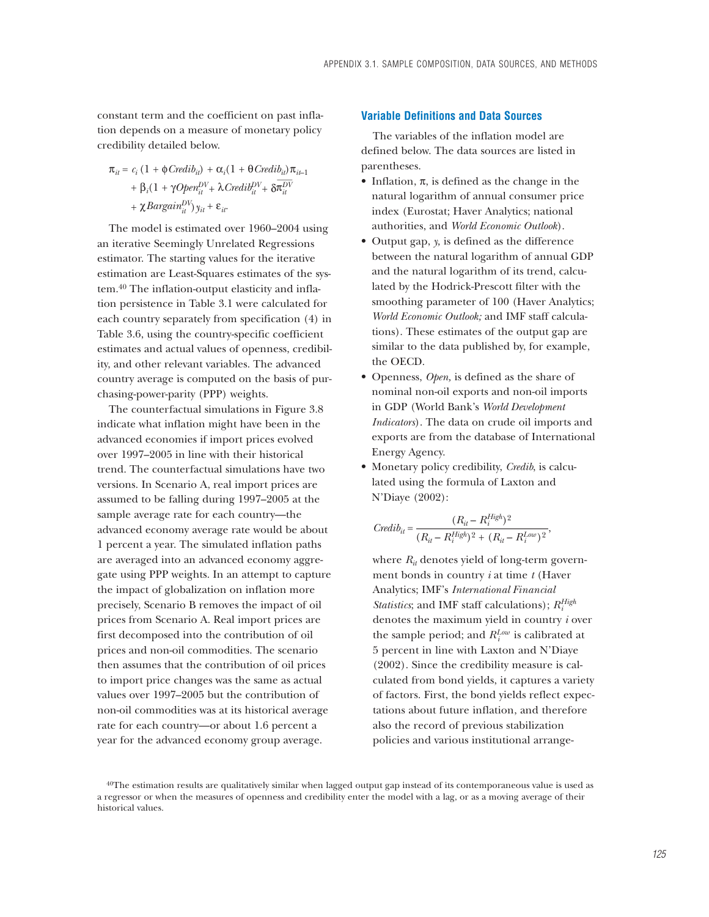constant term and the coefficient on past inflation depends on a measure of monetary policy credibility detailed below.

$$
\begin{aligned} \pi_{ii} &= c_i \left( 1 + \phi\mathit{Credib}_{ii} \right) + \alpha_i (1 + \theta\mathit{Credib}_{ii}) \pi_{ii-1} \\ &+ \beta_i (1 + \gamma\mathit{Open}_{ii}^{DV} + \lambda\mathit{Credib}_{ii}^{DV} + \delta\overline{\pi_{ii}^{DV}} \\ &+ \chi\mathit{Bargain}_{ii}^{DV} \right) y_{ii} + \varepsilon_{ii}. \end{aligned}
$$

The model is estimated over 1960–2004 using an iterative Seemingly Unrelated Regressions estimator. The starting values for the iterative estimation are Least-Squares estimates of the system.40 The inflation-output elasticity and inflation persistence in Table 3.1 were calculated for each country separately from specification (4) in Table 3.6, using the country-specific coefficient estimates and actual values of openness, credibility, and other relevant variables. The advanced country average is computed on the basis of purchasing-power-parity (PPP) weights.

The counterfactual simulations in Figure 3.8 indicate what inflation might have been in the advanced economies if import prices evolved over 1997–2005 in line with their historical trend. The counterfactual simulations have two versions. In Scenario A, real import prices are assumed to be falling during 1997–2005 at the sample average rate for each country—the advanced economy average rate would be about 1 percent a year. The simulated inflation paths are averaged into an advanced economy aggregate using PPP weights. In an attempt to capture the impact of globalization on inflation more precisely, Scenario B removes the impact of oil prices from Scenario A. Real import prices are first decomposed into the contribution of oil prices and non-oil commodities. The scenario then assumes that the contribution of oil prices to import price changes was the same as actual values over 1997–2005 but the contribution of non-oil commodities was at its historical average rate for each country—or about 1.6 percent a year for the advanced economy group average.

#### **Variable Definitions and Data Sources**

The variables of the inflation model are defined below. The data sources are listed in parentheses.

- Inflation,  $\pi$ , is defined as the change in the natural logarithm of annual consumer price index (Eurostat; Haver Analytics; national authorities, and *World Economic Outlook*).
- Output gap, *y,* is defined as the difference between the natural logarithm of annual GDP and the natural logarithm of its trend, calculated by the Hodrick-Prescott filter with the smoothing parameter of 100 (Haver Analytics; *World Economic Outlook;* and IMF staff calculations). These estimates of the output gap are similar to the data published by, for example, the OECD.
- Openness, *Open,* is defined as the share of nominal non-oil exports and non-oil imports in GDP (World Bank's *World Development Indicators*). The data on crude oil imports and exports are from the database of International Energy Agency.
- Monetary policy credibility, *Credib*, is calculated using the formula of Laxton and N'Diaye (2002):

$$
Credib_{it} = \frac{(R_{it} - R_{i}^{High})^2}{(R_{it} - R_{i}^{High})^2 + (R_{it} - R_{i}^{Low})^2},
$$

where  $R_{it}$  denotes yield of long-term government bonds in country *i* at time *t* (Haver Analytics; IMF's *International Financial Statistics*; and IMF staff calculations); *RHigh i* denotes the maximum yield in country *i* over the sample period; and  $R_i^{Low}$  is calibrated at 5 percent in line with Laxton and N'Diaye (2002). Since the credibility measure is calculated from bond yields, it captures a variety of factors. First, the bond yields reflect expectations about future inflation, and therefore also the record of previous stabilization policies and various institutional arrange-

<sup>40</sup>The estimation results are qualitatively similar when lagged output gap instead of its contemporaneous value is used as a regressor or when the measures of openness and credibility enter the model with a lag, or as a moving average of their historical values.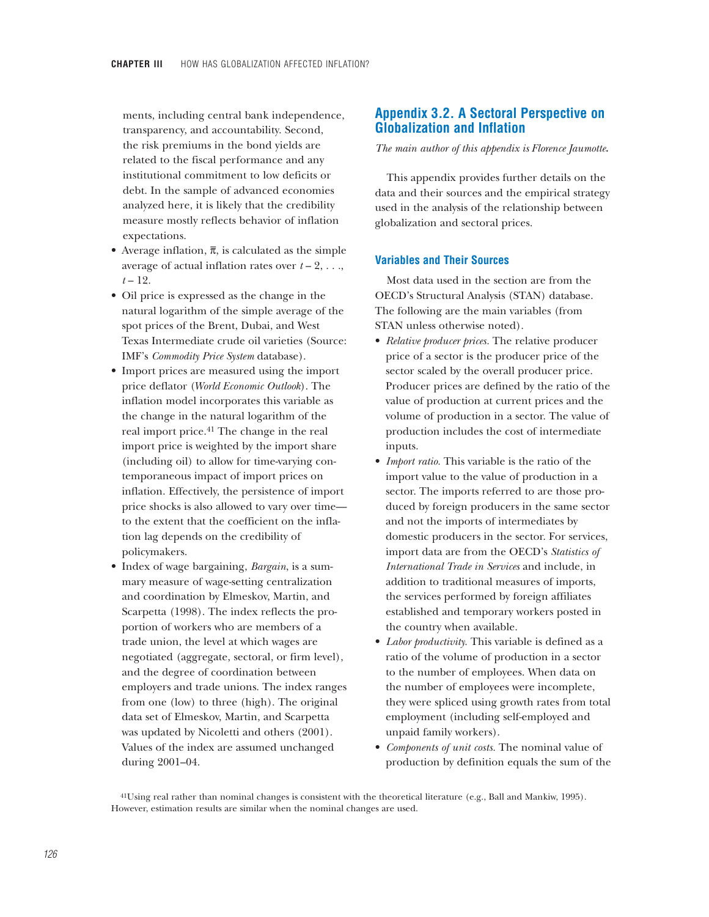ments, including central bank independence, transparency, and accountability. Second, the risk premiums in the bond yields are related to the fiscal performance and any institutional commitment to low deficits or debt. In the sample of advanced economies analyzed here, it is likely that the credibility measure mostly reflects behavior of inflation expectations.

- Average inflation,  $\bar{\pi}$ , is calculated as the simple average of actual inflation rates over  $t - 2, \ldots$ , *t* – 12.
- Oil price is expressed as the change in the natural logarithm of the simple average of the spot prices of the Brent, Dubai, and West Texas Intermediate crude oil varieties (Source: IMF's *Commodity Price System* database).
- Import prices are measured using the import price deflator (*World Economic Outlook*). The inflation model incorporates this variable as the change in the natural logarithm of the real import price.41 The change in the real import price is weighted by the import share (including oil) to allow for time-varying contemporaneous impact of import prices on inflation. Effectively, the persistence of import price shocks is also allowed to vary over time to the extent that the coefficient on the inflation lag depends on the credibility of policymakers.
- Index of wage bargaining, *Bargain*, is a summary measure of wage-setting centralization and coordination by Elmeskov, Martin, and Scarpetta (1998). The index reflects the proportion of workers who are members of a trade union, the level at which wages are negotiated (aggregate, sectoral, or firm level), and the degree of coordination between employers and trade unions. The index ranges from one (low) to three (high). The original data set of Elmeskov, Martin, and Scarpetta was updated by Nicoletti and others (2001). Values of the index are assumed unchanged during 2001–04.

# **Appendix 3.2. A Sectoral Perspective on Globalization and Inflation**

*The main author of this appendix is Florence Jaumotte.*

This appendix provides further details on the data and their sources and the empirical strategy used in the analysis of the relationship between globalization and sectoral prices.

# **Variables and Their Sources**

Most data used in the section are from the OECD's Structural Analysis (STAN) database. The following are the main variables (from STAN unless otherwise noted).

- *Relative producer prices.* The relative producer price of a sector is the producer price of the sector scaled by the overall producer price. Producer prices are defined by the ratio of the value of production at current prices and the volume of production in a sector. The value of production includes the cost of intermediate inputs.
- *Import ratio*. This variable is the ratio of the import value to the value of production in a sector. The imports referred to are those produced by foreign producers in the same sector and not the imports of intermediates by domestic producers in the sector. For services, import data are from the OECD's *Statistics of International Trade in Services* and include, in addition to traditional measures of imports, the services performed by foreign affiliates established and temporary workers posted in the country when available.
- *Labor productivity.* This variable is defined as a ratio of the volume of production in a sector to the number of employees. When data on the number of employees were incomplete, they were spliced using growth rates from total employment (including self-employed and unpaid family workers).
- *Components of unit costs.* The nominal value of production by definition equals the sum of the

41Using real rather than nominal changes is consistent with the theoretical literature (e.g., Ball and Mankiw, 1995). However, estimation results are similar when the nominal changes are used.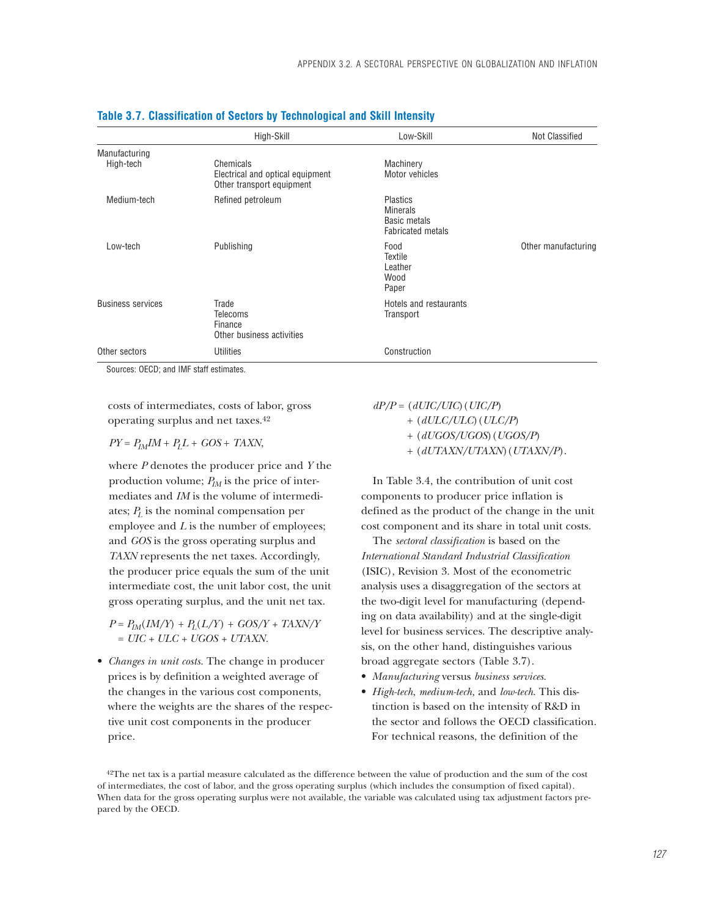|                            | High-Skill                                                                 | Low-Skill                                                                             | <b>Not Classified</b> |  |
|----------------------------|----------------------------------------------------------------------------|---------------------------------------------------------------------------------------|-----------------------|--|
| Manufacturing<br>High-tech | Chemicals<br>Electrical and optical equipment<br>Other transport equipment | Machinery<br>Motor vehicles                                                           |                       |  |
| Medium-tech                | Refined petroleum                                                          | <b>Plastics</b><br><b>Minerals</b><br><b>Basic metals</b><br><b>Fabricated metals</b> |                       |  |
| Low-tech                   | Publishing                                                                 | Food<br>Textile<br>Leather<br>Wood<br>Paper                                           | Other manufacturing   |  |
| <b>Business services</b>   | Trade<br><b>Telecoms</b><br>Finance<br>Other business activities           | Hotels and restaurants<br>Transport                                                   |                       |  |
| Other sectors              | Utilities                                                                  | Construction                                                                          |                       |  |

#### **Table 3.7. Classification of Sectors by Technological and Skill Intensity**

Sources: OECD; and IMF staff estimates.

costs of intermediates, costs of labor, gross operating surplus and net taxes.42

 $PY = P_{IM}IM + P_{L}L + GOS + TAXN$ ,

where *P* denotes the producer price and *Y* the production volume;  $P_{IM}$  is the price of intermediates and *IM* is the volume of intermediates;  $P<sub>L</sub>$  is the nominal compensation per employee and *L* is the number of employees; and *GOS* is the gross operating surplus and *TAXN* represents the net taxes. Accordingly, the producer price equals the sum of the unit intermediate cost, the unit labor cost, the unit gross operating surplus, and the unit net tax.

 $P = P_{IM}(IM/Y) + P_L(L/Y) + GOS/Y + TAXN/Y$ = *UIC + ULC + UGOS + UTAXN.*

• *Changes in unit costs.* The change in producer prices is by definition a weighted average of the changes in the various cost components, where the weights are the shares of the respective unit cost components in the producer price.

*dP/P* = (*dUIC/UIC*)(*UIC/P*)

+ (*dULC/ULC*)(*ULC/P*)

+ (*dUGOS/UGOS*)(*UGOS/P*)

+ (*dUTAXN/UTAXN*)(*UTAXN/P*).

In Table 3.4, the contribution of unit cost components to producer price inflation is defined as the product of the change in the unit cost component and its share in total unit costs.

The *sectoral classification* is based on the *International Standard Industrial Classification* (ISIC), Revision 3. Most of the econometric analysis uses a disaggregation of the sectors at the two-digit level for manufacturing (depending on data availability) and at the single-digit level for business services. The descriptive analysis, on the other hand, distinguishes various broad aggregate sectors (Table 3.7).

- *Manufacturing* versus *business services*.
- *High-tech*, *medium-tech,* and *low-tech*. This distinction is based on the intensity of R&D in the sector and follows the OECD classification. For technical reasons, the definition of the

42The net tax is a partial measure calculated as the difference between the value of production and the sum of the cost of intermediates, the cost of labor, and the gross operating surplus (which includes the consumption of fixed capital). When data for the gross operating surplus were not available, the variable was calculated using tax adjustment factors prepared by the OECD.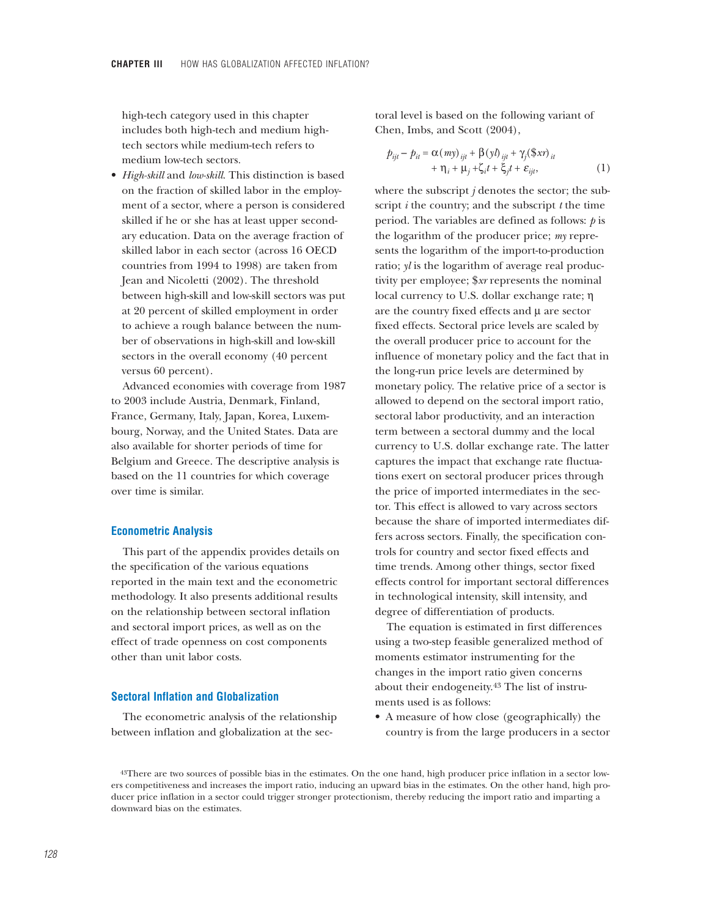high-tech category used in this chapter includes both high-tech and medium hightech sectors while medium-tech refers to medium low-tech sectors.

• *High-skill* and *low-skill*. This distinction is based on the fraction of skilled labor in the employment of a sector, where a person is considered skilled if he or she has at least upper secondary education. Data on the average fraction of skilled labor in each sector (across 16 OECD countries from 1994 to 1998) are taken from Jean and Nicoletti (2002). The threshold between high-skill and low-skill sectors was put at 20 percent of skilled employment in order to achieve a rough balance between the number of observations in high-skill and low-skill sectors in the overall economy (40 percent versus 60 percent).

Advanced economies with coverage from 1987 to 2003 include Austria, Denmark, Finland, France, Germany, Italy, Japan, Korea, Luxembourg, Norway, and the United States. Data are also available for shorter periods of time for Belgium and Greece. The descriptive analysis is based on the 11 countries for which coverage over time is similar.

#### **Econometric Analysis**

This part of the appendix provides details on the specification of the various equations reported in the main text and the econometric methodology. It also presents additional results on the relationship between sectoral inflation and sectoral import prices, as well as on the effect of trade openness on cost components other than unit labor costs.

## **Sectoral Inflation and Globalization**

The econometric analysis of the relationship between inflation and globalization at the sectoral level is based on the following variant of Chen, Imbs, and Scott (2004),

$$
p_{ijt} - p_{it} = \alpha(my)_{ijt} + \beta(yl)_{ijt} + \gamma_j(\text{Sx})_{it}
$$
  
+  $\eta_i + \mu_j + \zeta_i t + \xi_j t + \varepsilon_{ijt}$ , (1)

where the subscript *j* denotes the sector; the subscript *i* the country; and the subscript *t* the time period. The variables are defined as follows: *p* is the logarithm of the producer price; *my* represents the logarithm of the import-to-production ratio; *yl* is the logarithm of average real productivity per employee; \$*xr* represents the nominal local currency to U.S. dollar exchange rate; η are the country fixed effects and  $\mu$  are sector fixed effects. Sectoral price levels are scaled by the overall producer price to account for the influence of monetary policy and the fact that in the long-run price levels are determined by monetary policy. The relative price of a sector is allowed to depend on the sectoral import ratio, sectoral labor productivity, and an interaction term between a sectoral dummy and the local currency to U.S. dollar exchange rate. The latter captures the impact that exchange rate fluctuations exert on sectoral producer prices through the price of imported intermediates in the sector. This effect is allowed to vary across sectors because the share of imported intermediates differs across sectors. Finally, the specification controls for country and sector fixed effects and time trends. Among other things, sector fixed effects control for important sectoral differences in technological intensity, skill intensity, and degree of differentiation of products.

The equation is estimated in first differences using a two-step feasible generalized method of moments estimator instrumenting for the changes in the import ratio given concerns about their endogeneity.<sup>43</sup> The list of instruments used is as follows:

• A measure of how close (geographically) the country is from the large producers in a sector

<sup>&</sup>lt;sup>43</sup>There are two sources of possible bias in the estimates. On the one hand, high producer price inflation in a sector lowers competitiveness and increases the import ratio, inducing an upward bias in the estimates. On the other hand, high producer price inflation in a sector could trigger stronger protectionism, thereby reducing the import ratio and imparting a downward bias on the estimates.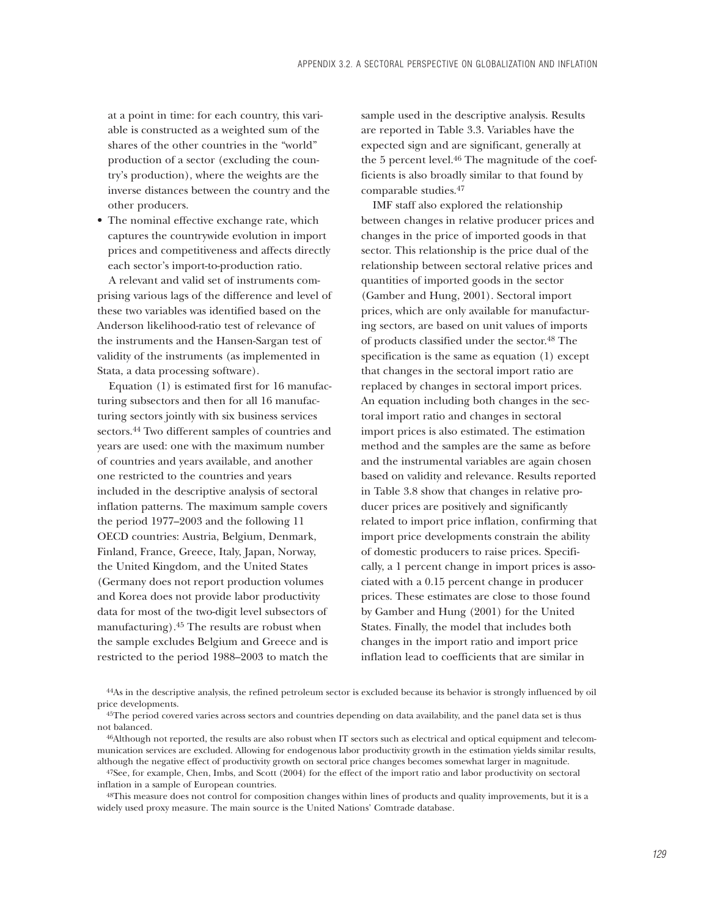at a point in time: for each country, this variable is constructed as a weighted sum of the shares of the other countries in the "world" production of a sector (excluding the country's production), where the weights are the inverse distances between the country and the other producers.

• The nominal effective exchange rate, which captures the countrywide evolution in import prices and competitiveness and affects directly each sector's import-to-production ratio.

A relevant and valid set of instruments comprising various lags of the difference and level of these two variables was identified based on the Anderson likelihood-ratio test of relevance of the instruments and the Hansen-Sargan test of validity of the instruments (as implemented in Stata, a data processing software).

Equation (1) is estimated first for 16 manufacturing subsectors and then for all 16 manufacturing sectors jointly with six business services sectors.44 Two different samples of countries and years are used: one with the maximum number of countries and years available, and another one restricted to the countries and years included in the descriptive analysis of sectoral inflation patterns. The maximum sample covers the period 1977–2003 and the following 11 OECD countries: Austria, Belgium, Denmark, Finland, France, Greece, Italy, Japan, Norway, the United Kingdom, and the United States (Germany does not report production volumes and Korea does not provide labor productivity data for most of the two-digit level subsectors of manufacturing).45 The results are robust when the sample excludes Belgium and Greece and is restricted to the period 1988–2003 to match the

sample used in the descriptive analysis. Results are reported in Table 3.3. Variables have the expected sign and are significant, generally at the 5 percent level.<sup>46</sup> The magnitude of the coefficients is also broadly similar to that found by comparable studies.47

IMF staff also explored the relationship between changes in relative producer prices and changes in the price of imported goods in that sector. This relationship is the price dual of the relationship between sectoral relative prices and quantities of imported goods in the sector (Gamber and Hung, 2001). Sectoral import prices, which are only available for manufacturing sectors, are based on unit values of imports of products classified under the sector.48 The specification is the same as equation (1) except that changes in the sectoral import ratio are replaced by changes in sectoral import prices. An equation including both changes in the sectoral import ratio and changes in sectoral import prices is also estimated. The estimation method and the samples are the same as before and the instrumental variables are again chosen based on validity and relevance. Results reported in Table 3.8 show that changes in relative producer prices are positively and significantly related to import price inflation, confirming that import price developments constrain the ability of domestic producers to raise prices. Specifically, a 1 percent change in import prices is associated with a 0.15 percent change in producer prices. These estimates are close to those found by Gamber and Hung (2001) for the United States. Finally, the model that includes both changes in the import ratio and import price inflation lead to coefficients that are similar in

44As in the descriptive analysis, the refined petroleum sector is excluded because its behavior is strongly influenced by oil price developments.

47See, for example, Chen, Imbs, and Scott (2004) for the effect of the import ratio and labor productivity on sectoral inflation in a sample of European countries.

48This measure does not control for composition changes within lines of products and quality improvements, but it is a widely used proxy measure. The main source is the United Nations' Comtrade database.

 $45$ The period covered varies across sectors and countries depending on data availability, and the panel data set is thus not balanced.

<sup>46</sup>Although not reported, the results are also robust when IT sectors such as electrical and optical equipment and telecommunication services are excluded. Allowing for endogenous labor productivity growth in the estimation yields similar results, although the negative effect of productivity growth on sectoral price changes becomes somewhat larger in magnitude.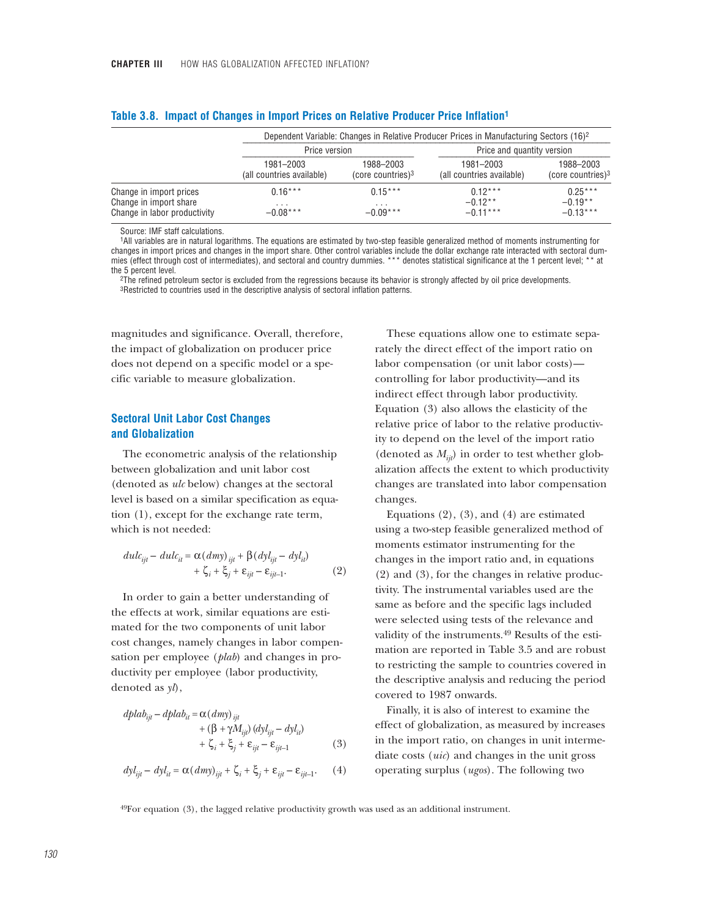|                              | Dependent Variable: Changes in Relative Producer Prices in Manufacturing Sectors (16) <sup>2</sup> |                               |                           |                               |  |  |
|------------------------------|----------------------------------------------------------------------------------------------------|-------------------------------|---------------------------|-------------------------------|--|--|
|                              | Price and quantity version<br>Price version                                                        |                               |                           |                               |  |  |
|                              | 1981-2003                                                                                          | 1988-2003                     | 1981-2003                 | 1988-2003                     |  |  |
|                              | (all countries available)                                                                          | (core countries) <sup>3</sup> | (all countries available) | (core countries) <sup>3</sup> |  |  |
| Change in import prices      | $0.16***$                                                                                          | $0.15***$                     | $0.12***$                 | $0.25***$                     |  |  |
| Change in import share       | .                                                                                                  | .                             | $-0.12**$                 | $-0.19**$                     |  |  |
| Change in labor productivity | $-0.08***$                                                                                         | $-0.09***$                    | $-0.11***$                | $-0.13***$                    |  |  |

#### **Table 3.8. Impact of Changes in Import Prices on Relative Producer Price Inflation1**

Source: IMF staff calculations.

1All variables are in natural logarithms. The equations are estimated by two-step feasible generalized method of moments instrumenting for changes in import prices and changes in the import share. Other control variables include the dollar exchange rate interacted with sectoral dummies (effect through cost of intermediates), and sectoral and country dummies. \*\*\* denotes statistical significance at the 1 percent level; \*\* at the 5 percent level.

2The refined petroleum sector is excluded from the regressions because its behavior is strongly affected by oil price developments. 3Restricted to countries used in the descriptive analysis of sectoral inflation patterns.

magnitudes and significance. Overall, therefore, the impact of globalization on producer price does not depend on a specific model or a specific variable to measure globalization.

# **Sectoral Unit Labor Cost Changes and Globalization**

The econometric analysis of the relationship between globalization and unit labor cost (denoted as *ulc* below) changes at the sectoral level is based on a similar specification as equation (1), except for the exchange rate term, which is not needed:

$$
dulc_{ijt} - dulc_{it} = \alpha (dmy)_{ijt} + \beta (dyl_{ijt} - dyl_{it})
$$

$$
+ \zeta_i + \xi_j + \varepsilon_{ijt} - \varepsilon_{ijt-1}.
$$
 (2)

In order to gain a better understanding of the effects at work, similar equations are estimated for the two components of unit labor cost changes, namely changes in labor compensation per employee (*plab*) and changes in productivity per employee (labor productivity, denoted as *yl*),

$$
dplab_{ijl} - dplab_{il} = \alpha (dmy)_{ijl}
$$
  
+ 
$$
(\beta + \gamma M_{ijl}) (dyl_{ijl} - dyl_{il})
$$
  
+ 
$$
\zeta_i + \xi_j + \varepsilon_{ijl} - \varepsilon_{ijl-1}
$$
 (3)

$$
dyl_{ijt} - dyl_{it} = \alpha (dmy)_{ijt} + \zeta_i + \xi_j + \varepsilon_{ijt} - \varepsilon_{ijt-1}.
$$
 (4)

These equations allow one to estimate separately the direct effect of the import ratio on labor compensation (or unit labor costs) controlling for labor productivity—and its indirect effect through labor productivity. Equation (3) also allows the elasticity of the relative price of labor to the relative productivity to depend on the level of the import ratio (denoted as  $M_{ii}$ ) in order to test whether globalization affects the extent to which productivity changes are translated into labor compensation changes.

Equations  $(2)$ ,  $(3)$ , and  $(4)$  are estimated using a two-step feasible generalized method of moments estimator instrumenting for the changes in the import ratio and, in equations (2) and (3), for the changes in relative productivity. The instrumental variables used are the same as before and the specific lags included were selected using tests of the relevance and validity of the instruments.49 Results of the estimation are reported in Table 3.5 and are robust to restricting the sample to countries covered in the descriptive analysis and reducing the period covered to 1987 onwards.

Finally, it is also of interest to examine the effect of globalization, as measured by increases in the import ratio, on changes in unit intermediate costs (*uic*) and changes in the unit gross operating surplus (*ugos*). The following two

 $49$ For equation (3), the lagged relative productivity growth was used as an additional instrument.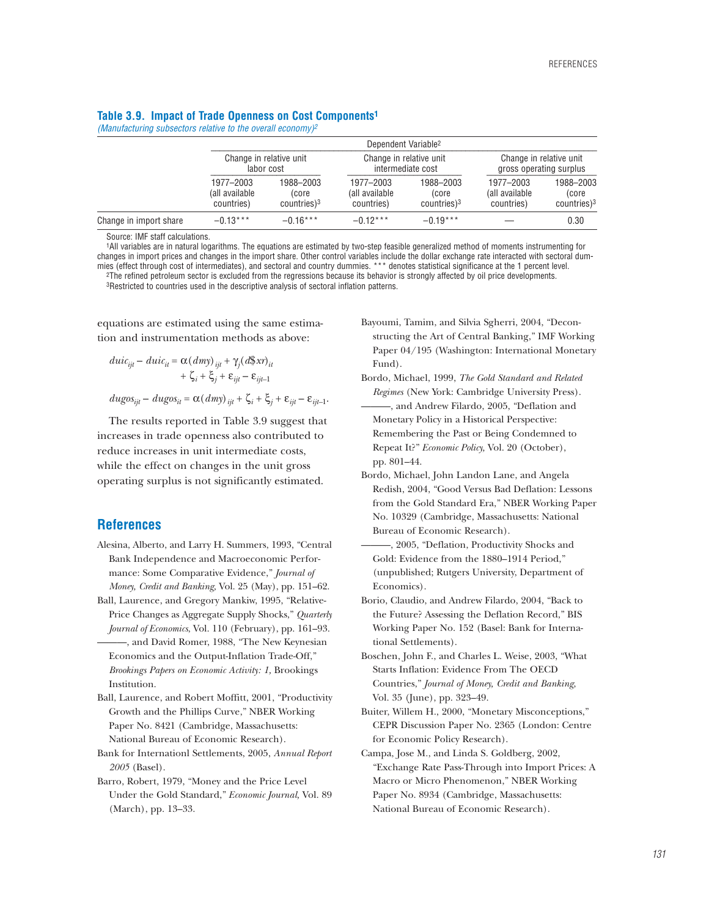#### **Table 3.9. Impact of Trade Openness on Cost Components1**

*(Manufacturing subsectors relative to the overall economy)2*

|                        | Dependent Variable <sup>2</sup>           |                                                                                       |                                           |                                                |                                                    |                                                |  |  |
|------------------------|-------------------------------------------|---------------------------------------------------------------------------------------|-------------------------------------------|------------------------------------------------|----------------------------------------------------|------------------------------------------------|--|--|
|                        |                                           | Change in relative unit<br>Change in relative unit<br>intermediate cost<br>labor cost |                                           |                                                | Change in relative unit<br>gross operating surplus |                                                |  |  |
|                        | 1977-2003<br>(all available<br>countries) | 1988-2003<br>(core<br>$countries$ <sup>3</sup>                                        | 1977-2003<br>(all available<br>countries) | 1988-2003<br>(core<br>$countries$ <sup>3</sup> | 1977-2003<br>(all available<br>countries)          | 1988-2003<br>(core<br>$countries$ <sup>3</sup> |  |  |
| Change in import share | $-0.13***$                                | $-0.16***$                                                                            | $-0.12***$                                | $-0.19***$                                     |                                                    | 0.30                                           |  |  |

Source: IMF staff calculations.

1All variables are in natural logarithms. The equations are estimated by two-step feasible generalized method of moments instrumenting for changes in import prices and changes in the import share. Other control variables include the dollar exchange rate interacted with sectoral dummies (effect through cost of intermediates), and sectoral and country dummies. \*\*\* denotes statistical significance at the 1 percent level. 2The refined petroleum sector is excluded from the regressions because its behavior is strongly affected by oil price developments. 3Restricted to countries used in the descriptive analysis of sectoral inflation patterns.

equations are estimated using the same estimation and instrumentation methods as above:

$$
duic_{ijt} - duic_{it} = \alpha (dmy)_{ijt} + \gamma_j (d\beta x r)_{it}
$$
  
+  $\zeta_i + \xi_j + \varepsilon_{ijt} - \varepsilon_{ijt-1}$   

$$
dugos_{ijt} - dugos_{it} = \alpha (dmy)_{ijt} + \zeta_i + \xi_j + \varepsilon_{ijt} - \varepsilon_{ijt-1}.
$$

The results reported in Table 3.9 suggest that increases in trade openness also contributed to reduce increases in unit intermediate costs, while the effect on changes in the unit gross operating surplus is not significantly estimated.

# **References**

- Alesina, Alberto, and Larry H. Summers, 1993, "Central Bank Independence and Macroeconomic Performance: Some Comparative Evidence," *Journal of Money, Credit and Banking,* Vol. 25 (May), pp. 151–62.
- Ball, Laurence, and Gregory Mankiw, 1995, "Relative-Price Changes as Aggregate Supply Shocks," *Quarterly Journal of Economics*, Vol. 110 (February), pp. 161–93.
	- ———, and David Romer, 1988, "The New Keynesian Economics and the Output-Inflation Trade-Off," *Brookings Papers on Economic Activity: 1,* Brookings Institution.
- Ball, Laurence, and Robert Moffitt, 2001, "Productivity Growth and the Phillips Curve," NBER Working Paper No. 8421 (Cambridge, Massachusetts: National Bureau of Economic Research).
- Bank for Internationl Settlements, 2005, *Annual Report 2005* (Basel).
- Barro, Robert, 1979, "Money and the Price Level Under the Gold Standard," *Economic Journal,* Vol. 89 (March), pp. 13–33.
- Bayoumi, Tamim, and Silvia Sgherri, 2004, "Deconstructing the Art of Central Banking," IMF Working Paper 04/195 (Washington: International Monetary Fund).
- Bordo, Michael, 1999, *The Gold Standard and Related Regimes* (New York: Cambridge University Press).
- -, and Andrew Filardo, 2005, "Deflation and Monetary Policy in a Historical Perspective: Remembering the Past or Being Condemned to Repeat It?" *Economic Policy,* Vol. 20 (October), pp. 801–44.
- Bordo, Michael, John Landon Lane, and Angela Redish, 2004, "Good Versus Bad Deflation: Lessons from the Gold Standard Era," NBER Working Paper No. 10329 (Cambridge, Massachusetts: National Bureau of Economic Research).
- ———, 2005, "Deflation, Productivity Shocks and Gold: Evidence from the 1880–1914 Period," (unpublished; Rutgers University, Department of Economics).
- Borio, Claudio, and Andrew Filardo, 2004, "Back to the Future? Assessing the Deflation Record," BIS Working Paper No. 152 (Basel: Bank for International Settlements).
- Boschen, John F., and Charles L. Weise, 2003, "What Starts Inflation: Evidence From The OECD Countries," *Journal of Money, Credit and Banking*, Vol. 35 (June), pp. 323–49.
- Buiter, Willem H., 2000, "Monetary Misconceptions," CEPR Discussion Paper No. 2365 (London: Centre for Economic Policy Research).
- Campa, Jose M., and Linda S. Goldberg, 2002, "Exchange Rate Pass-Through into Import Prices: A Macro or Micro Phenomenon," NBER Working Paper No. 8934 (Cambridge, Massachusetts: National Bureau of Economic Research).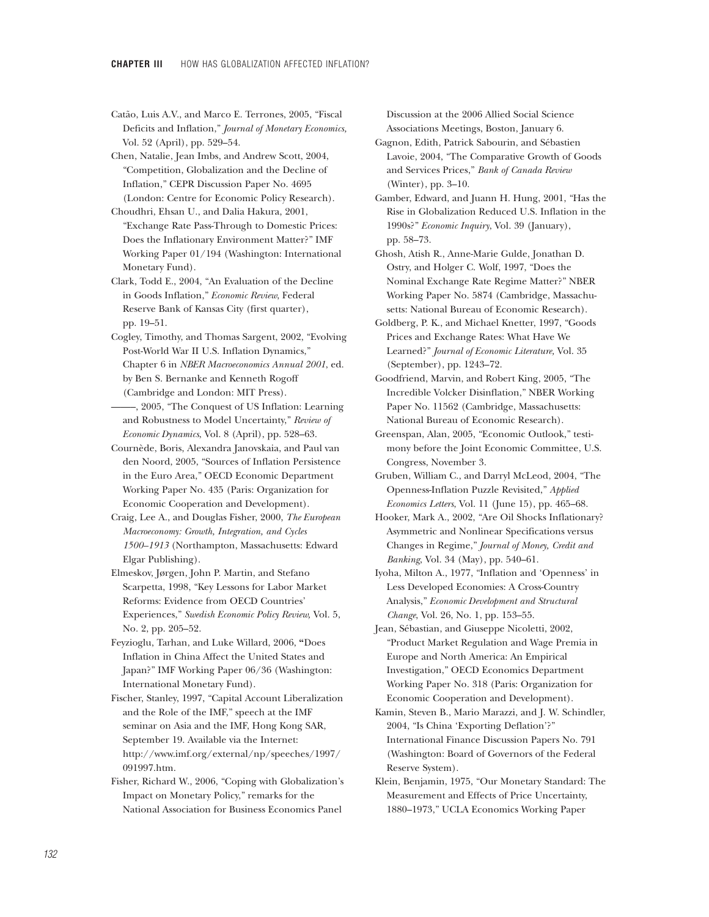- Catão, Luis A.V., and Marco E. Terrones, 2005, "Fiscal Deficits and Inflation," *Journal of Monetary Economics,* Vol. 52 (April), pp. 529–54.
- Chen, Natalie, Jean Imbs, and Andrew Scott, 2004, "Competition, Globalization and the Decline of Inflation," CEPR Discussion Paper No. 4695 (London: Centre for Economic Policy Research).
- Choudhri, Ehsan U., and Dalia Hakura, 2001, "Exchange Rate Pass-Through to Domestic Prices: Does the Inflationary Environment Matter?" IMF Working Paper 01/194 (Washington: International Monetary Fund).
- Clark, Todd E., 2004, "An Evaluation of the Decline in Goods Inflation," *Economic Review*, Federal Reserve Bank of Kansas City (first quarter), pp. 19–51.
- Cogley, Timothy, and Thomas Sargent, 2002, "Evolving Post-World War II U.S. Inflation Dynamics," Chapter 6 in *NBER Macroeconomics Annual 2001*, ed. by Ben S. Bernanke and Kenneth Rogoff (Cambridge and London: MIT Press).
- ——–, 2005, "The Conquest of US Inflation: Learning and Robustness to Model Uncertainty," *Review of Economic Dynamics*, Vol. 8 (April), pp. 528–63.
- Cournède, Boris, Alexandra Janovskaia, and Paul van den Noord, 2005, "Sources of Inflation Persistence in the Euro Area," OECD Economic Department Working Paper No. 435 (Paris: Organization for Economic Cooperation and Development).
- Craig, Lee A., and Douglas Fisher, 2000, *The European Macroeconomy: Growth, Integration, and Cycles 1500–1913* (Northampton, Massachusetts: Edward Elgar Publishing).
- Elmeskov, Jørgen, John P. Martin, and Stefano Scarpetta, 1998, "Key Lessons for Labor Market Reforms: Evidence from OECD Countries' Experiences," *Swedish Economic Policy Review,* Vol. 5, No. 2, pp. 205–52.
- Feyzioglu, Tarhan, and Luke Willard, 2006, **"**Does Inflation in China Affect the United States and Japan?" IMF Working Paper 06/36 (Washington: International Monetary Fund).
- Fischer, Stanley, 1997, "Capital Account Liberalization and the Role of the IMF," speech at the IMF seminar on Asia and the IMF, Hong Kong SAR, September 19. Available via the Internet: http://www.imf.org/external/np/speeches/1997/ 091997.htm.
- Fisher, Richard W., 2006, "Coping with Globalization's Impact on Monetary Policy," remarks for the National Association for Business Economics Panel

Discussion at the 2006 Allied Social Science Associations Meetings, Boston, January 6.

Gagnon, Edith, Patrick Sabourin, and Sébastien Lavoie, 2004, "The Comparative Growth of Goods and Services Prices," *Bank of Canada Review* (Winter), pp. 3–10.

Gamber, Edward, and Juann H. Hung, 2001, "Has the Rise in Globalization Reduced U.S. Inflation in the 1990s?" *Economic Inquiry*, Vol. 39 (January), pp. 58–73.

Ghosh, Atish R., Anne-Marie Gulde, Jonathan D. Ostry, and Holger C. Wolf, 1997, "Does the Nominal Exchange Rate Regime Matter?" NBER Working Paper No. 5874 (Cambridge, Massachusetts: National Bureau of Economic Research).

- Goldberg, P. K., and Michael Knetter, 1997, "Goods Prices and Exchange Rates: What Have We Learned?" *Journal of Economic Literature,* Vol. 35 (September), pp. 1243–72.
- Goodfriend, Marvin, and Robert King, 2005, "The Incredible Volcker Disinflation," NBER Working Paper No. 11562 (Cambridge, Massachusetts: National Bureau of Economic Research).
- Greenspan, Alan, 2005, "Economic Outlook," testimony before the Joint Economic Committee, U.S. Congress, November 3.
- Gruben, William C., and Darryl McLeod, 2004, "The Openness-Inflation Puzzle Revisited," *Applied Economics Letters*, Vol. 11 (June 15), pp. 465–68.
- Hooker, Mark A., 2002, "Are Oil Shocks Inflationary? Asymmetric and Nonlinear Specifications versus Changes in Regime," *Journal of Money, Credit and Banking*, Vol. 34 (May), pp. 540–61.
- Iyoha, Milton A., 1977, "Inflation and 'Openness' in Less Developed Economies: A Cross-Country Analysis," *Economic Development and Structural Change*, Vol. 26, No. 1, pp. 153–55.
- Jean, Sébastian, and Giuseppe Nicoletti, 2002, "Product Market Regulation and Wage Premia in Europe and North America: An Empirical Investigation," OECD Economics Department Working Paper No. 318 (Paris: Organization for Economic Cooperation and Development).
- Kamin, Steven B., Mario Marazzi, and J. W. Schindler, 2004, "Is China 'Exporting Deflation'?" International Finance Discussion Papers No. 791 (Washington: Board of Governors of the Federal Reserve System).
- Klein, Benjamin, 1975, "Our Monetary Standard: The Measurement and Effects of Price Uncertainty, 1880–1973," UCLA Economics Working Paper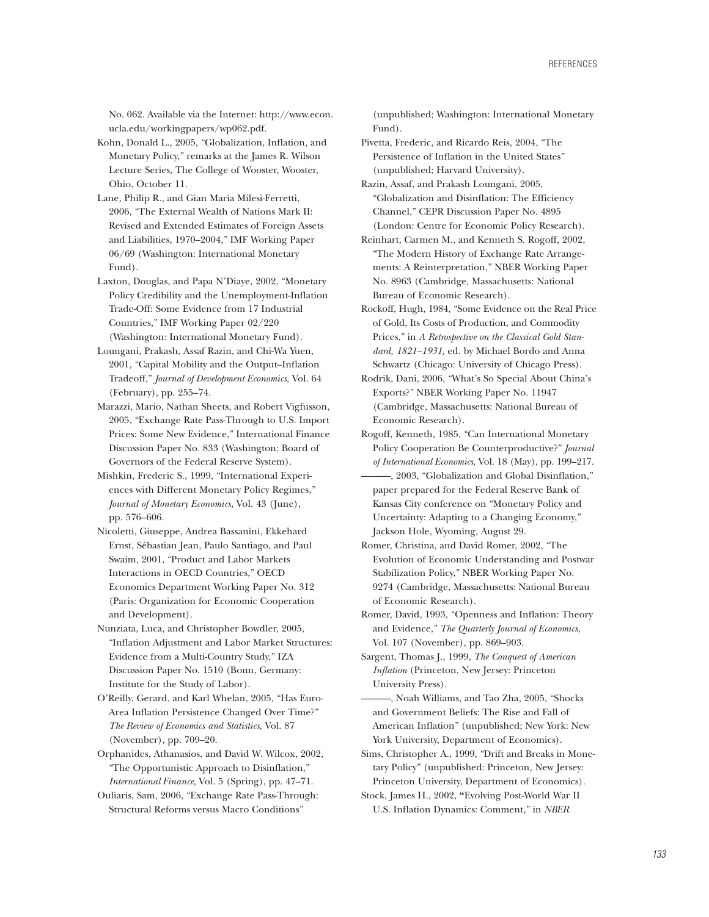No. 062. Available via the Internet: http://www.econ. ucla.edu/workingpapers/wp062.pdf.

Kohn, Donald L., 2005, "Globalization, Inflation, and Monetary Policy," remarks at the James R. Wilson Lecture Series, The College of Wooster, Wooster, Ohio, October 11.

Lane, Philip R., and Gian Maria Milesi-Ferretti, 2006, "The External Wealth of Nations Mark II: Revised and Extended Estimates of Foreign Assets and Liabilities, 1970–2004," IMF Working Paper 06/69 (Washington: International Monetary Fund).

Laxton, Douglas, and Papa N'Diaye, 2002, "Monetary Policy Credibility and the Unemployment-Inflation Trade-Off: Some Evidence from 17 Industrial Countries," IMF Working Paper 02/220 (Washington: International Monetary Fund).

Loungani, Prakash, Assaf Razin, and Chi-Wa Yuen, 2001, "Capital Mobility and the Output–Inflation Tradeoff," *Journal of Development Economics*, Vol. 64 (February), pp. 255–74.

Marazzi, Mario, Nathan Sheets, and Robert Vigfusson, 2005, "Exchange Rate Pass-Through to U.S. Import Prices: Some New Evidence," International Finance Discussion Paper No. 833 (Washington: Board of Governors of the Federal Reserve System).

Mishkin, Frederic S., 1999, "International Experiences with Different Monetary Policy Regimes," *Journal of Monetary Economics*, Vol. 43 (June), pp. 576–606.

Nicoletti, Giuseppe, Andrea Bassanini, Ekkehard Ernst, Sébastian Jean, Paulo Santiago, and Paul Swaim, 2001, "Product and Labor Markets Interactions in OECD Countries," OECD Economics Department Working Paper No. 312 (Paris: Organization for Economic Cooperation and Development).

Nunziata, Luca, and Christopher Bowdler, 2005, "Inflation Adjustment and Labor Market Structures: Evidence from a Multi-Country Study," IZA Discussion Paper No. 1510 (Bonn, Germany: Institute for the Study of Labor).

O'Reilly, Gerard, and Karl Whelan, 2005, "Has Euro-Area Inflation Persistence Changed Over Time?" *The Review of Economics and Statistics*, Vol. 87 (November), pp. 709–20.

Orphanides, Athanasios, and David W. Wilcox, 2002, "The Opportunistic Approach to Disinflation," *International Finance,* Vol. 5 (Spring), pp. 47–71.

Ouliaris, Sam, 2006, "Exchange Rate Pass-Through: Structural Reforms versus Macro Conditions"

(unpublished; Washington: International Monetary Fund).

Pivetta, Frederic, and Ricardo Reis, 2004, "The Persistence of Inflation in the United States" (unpublished; Harvard University).

Razin, Assaf, and Prakash Loungani, 2005, "Globalization and Disinflation: The Efficiency Channel," CEPR Discussion Paper No. 4895 (London: Centre for Economic Policy Research).

Reinhart, Carmen M., and Kenneth S. Rogoff, 2002, "The Modern History of Exchange Rate Arrangements: A Reinterpretation," NBER Working Paper No. 8963 (Cambridge, Massachusetts: National Bureau of Economic Research).

Rockoff, Hugh, 1984, "Some Evidence on the Real Price of Gold, Its Costs of Production, and Commodity Prices," in *A Retrospective on the Classical Gold Standard, 1821–1931,* ed. by Michael Bordo and Anna Schwartz (Chicago: University of Chicago Press).

Rodrik, Dani, 2006, "What's So Special About China's Exports?" NBER Working Paper No. 11947 (Cambridge, Massachusetts: National Bureau of Economic Research).

Rogoff, Kenneth, 1985, "Can International Monetary Policy Cooperation Be Counterproductive?" *Journal of International Economics*, Vol. 18 (May), pp. 199–217. ———, 2003, "Globalization and Global Disinflation," paper prepared for the Federal Reserve Bank of Kansas City conference on "Monetary Policy and Uncertainty: Adapting to a Changing Economy," Jackson Hole, Wyoming, August 29.

Romer, Christina, and David Romer, 2002, "The Evolution of Economic Understanding and Postwar Stabilization Policy," NBER Working Paper No. 9274 (Cambridge, Massachusetts: National Bureau of Economic Research).

Romer, David, 1993, "Openness and Inflation: Theory and Evidence," *The Quarterly Journal of Economics*, Vol. 107 (November), pp. 869–903.

Sargent, Thomas J., 1999, *The Conquest of American Inflation* (Princeton, New Jersey: Princeton University Press).

———, Noah Williams, and Tao Zha, 2005, "Shocks and Government Beliefs: The Rise and Fall of American Inflation" (unpublished; New York: New York University, Department of Economics).

Sims, Christopher A., 1999, "Drift and Breaks in Monetary Policy" (unpublished: Princeton, New Jersey: Princeton University, Department of Economics).

Stock, James H., 2002, **"**Evolving Post-World War II U.S. Inflation Dynamics: Comment," in *NBER*